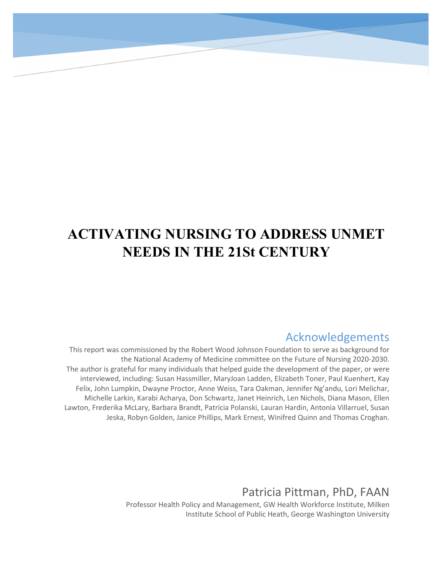# **ACTIVATING NURSING TO ADDRESS UNMET NEEDS IN THE 21St CENTURY**

# Acknowledgements

This report was commissioned by the Robert Wood Johnson Foundation to serve as background for the National Academy of Medicine committee on the Future of Nursing 2020-2030. The author is grateful for many individuals that helped guide the development of the paper, or were interviewed, including: Susan Hassmiller, MaryJoan Ladden, Elizabeth Toner, Paul Kuenhert, Kay Felix, John Lumpkin, Dwayne Proctor, Anne Weiss, Tara Oakman, Jennifer Ng'andu, Lori Melichar, Michelle Larkin, Karabi Acharya, Don Schwartz, Janet Heinrich, Len Nichols, Diana Mason, Ellen Lawton, Frederika McLary, Barbara Brandt, Patricia Polanski, Lauran Hardin, Antonia Villarruel, Susan Jeska, Robyn Golden, Janice Phillips, Mark Ernest, Winifred Quinn and Thomas Croghan.

Patricia Pittman, PhD, FAAN

Professor Health Policy and Management, GW Health Workforce Institute, Milken Institute School of Public Heath, George Washington University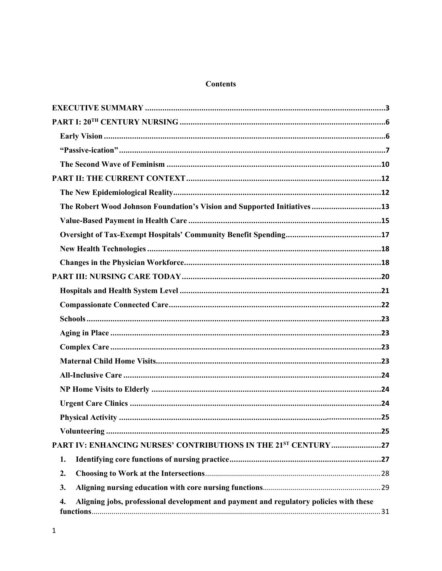#### **Contents**

| The Robert Wood Johnson Foundation's Vision and Supported Initiatives 13                     |
|----------------------------------------------------------------------------------------------|
|                                                                                              |
|                                                                                              |
|                                                                                              |
|                                                                                              |
|                                                                                              |
|                                                                                              |
|                                                                                              |
|                                                                                              |
|                                                                                              |
|                                                                                              |
|                                                                                              |
|                                                                                              |
|                                                                                              |
|                                                                                              |
|                                                                                              |
|                                                                                              |
| PART IV: ENHANCING NURSES' CONTRIBUTIONS IN THE 21ST CENTURY 27                              |
| 1.                                                                                           |
| 2.                                                                                           |
| 3.                                                                                           |
| Aligning jobs, professional development and payment and regulatory policies with these<br>4. |
|                                                                                              |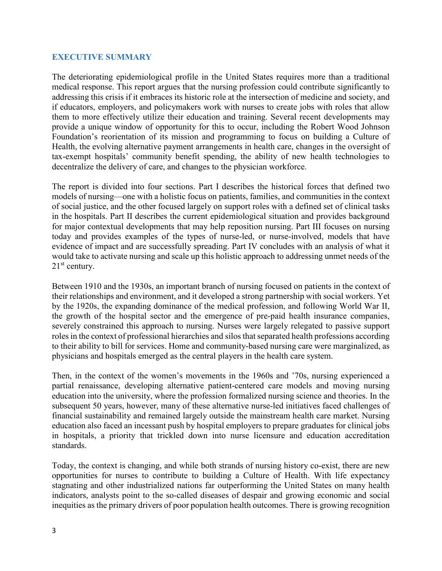#### <span id="page-3-0"></span>**EXECUTIVE SUMMARY**

The deteriorating epidemiological profile in the United States requires more than a traditional medical response. This report argues that the nursing profession could contribute significantly to addressing this crisis if it embraces its historic role at the intersection of medicine and society, and if educators, employers, and policymakers work with nurses to create jobs with roles that allow them to more effectively utilize their education and training. Several recent developments may provide a unique window of opportunity for this to occur, including the Robert Wood Johnson Foundation's reorientation of its mission and programming to focus on building a Culture of Health, the evolving alternative payment arrangements in health care, changes in the oversight of tax-exempt hospitals' community benefit spending, the ability of new health technologies to decentralize the delivery of care, and changes to the physician workforce.

The report is divided into four sections. Part I describes the historical forces that defined two models of nursing—one with a holistic focus on patients, families, and communities in the context of social justice, and the other focused largely on support roles with a defined set of clinical tasks in the hospitals. Part II describes the current epidemiological situation and provides background for major contextual developments that may help reposition nursing. Part III focuses on nursing today and provides examples of the types of nurse-led, or nurse-involved, models that have evidence of impact and are successfully spreading. Part IV concludes with an analysis of what it would take to activate nursing and scale up this holistic approach to addressing unmet needs of the  $21<sup>st</sup>$  century.

Between 1910 and the 1930s, an important branch of nursing focused on patients in the context of their relationships and environment, and it developed a strong partnership with social workers. Yet by the 1920s, the expanding dominance of the medical profession, and following World War II, the growth of the hospital sector and the emergence of pre-paid health insurance companies, severely constrained this approach to nursing. Nurses were largely relegated to passive support roles in the context of professional hierarchies and silos that separated health professions according to their ability to bill for services. Home and community-based nursing care were marginalized, as physicians and hospitals emerged as the central players in the health care system.

Then, in the context of the women's movements in the 1960s and '70s, nursing experienced a partial renaissance, developing alternative patient-centered care models and moving nursing education into the university, where the profession formalized nursing science and theories. In the subsequent 50 years, however, many of these alternative nurse-led initiatives faced challenges of financial sustainability and remained largely outside the mainstream health care market. Nursing education also faced an incessant push by hospital employers to prepare graduates for clinical jobs in hospitals, a priority that trickled down into nurse licensure and education accreditation standards.

Today, the context is changing, and while both strands of nursing history co-exist, there are new opportunities for nurses to contribute to building a Culture of Health. With life expectancy stagnating and other industrialized nations far outperforming the United States on many health indicators, analysts point to the so-called diseases of despair and growing economic and social inequities as the primary drivers of poor population health outcomes. There is growing recognition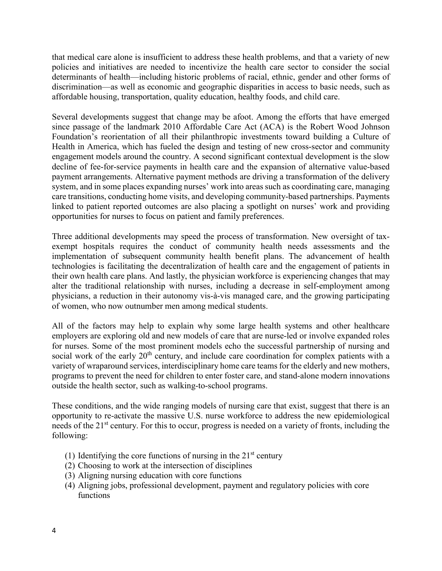that medical care alone is insufficient to address these health problems, and that a variety of new policies and initiatives are needed to incentivize the health care sector to consider the social determinants of health—including historic problems of racial, ethnic, gender and other forms of discrimination—as well as economic and geographic disparities in access to basic needs, such as affordable housing, transportation, quality education, healthy foods, and child care.

Several developments suggest that change may be afoot. Among the efforts that have emerged since passage of the landmark 2010 Affordable Care Act (ACA) is the Robert Wood Johnson Foundation's reorientation of all their philanthropic investments toward building a Culture of Health in America, which has fueled the design and testing of new cross-sector and community engagement models around the country. A second significant contextual development is the slow decline of fee-for-service payments in health care and the expansion of alternative value-based payment arrangements. Alternative payment methods are driving a transformation of the delivery system, and in some places expanding nurses' work into areas such as coordinating care, managing care transitions, conducting home visits, and developing community-based partnerships. Payments linked to patient reported outcomes are also placing a spotlight on nurses' work and providing opportunities for nurses to focus on patient and family preferences.

Three additional developments may speed the process of transformation. New oversight of taxexempt hospitals requires the conduct of community health needs assessments and the implementation of subsequent community health benefit plans. The advancement of health technologies is facilitating the decentralization of health care and the engagement of patients in their own health care plans. And lastly, the physician workforce is experiencing changes that may alter the traditional relationship with nurses, including a decrease in self-employment among physicians, a reduction in their autonomy vis-à-vis managed care, and the growing participating of women, who now outnumber men among medical students.

All of the factors may help to explain why some large health systems and other healthcare employers are exploring old and new models of care that are nurse-led or involve expanded roles for nurses. Some of the most prominent models echo the successful partnership of nursing and social work of the early  $20<sup>th</sup>$  century, and include care coordination for complex patients with a variety of wraparound services, interdisciplinary home care teams for the elderly and new mothers, programs to prevent the need for children to enter foster care, and stand-alone modern innovations outside the health sector, such as walking-to-school programs.

These conditions, and the wide ranging models of nursing care that exist, suggest that there is an opportunity to re-activate the massive U.S. nurse workforce to address the new epidemiological needs of the 21<sup>st</sup> century. For this to occur, progress is needed on a variety of fronts, including the following:

- (1) Identifying the core functions of nursing in the  $21<sup>st</sup>$  century
- (2) Choosing to work at the intersection of disciplines
- (3) Aligning nursing education with core functions
- (4) Aligning jobs, professional development, payment and regulatory policies with core functions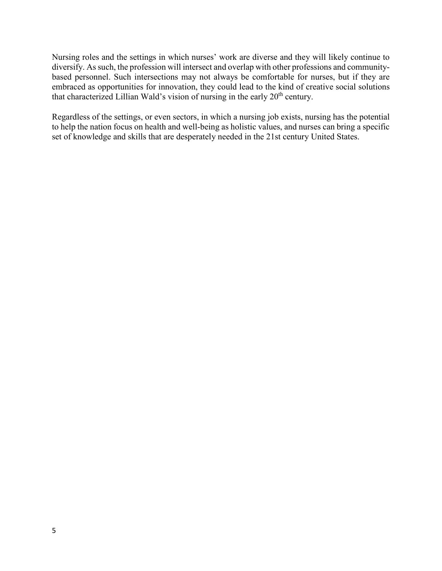Nursing roles and the settings in which nurses' work are diverse and they will likely continue to diversify. As such, the profession will intersect and overlap with other professions and communitybased personnel. Such intersections may not always be comfortable for nurses, but if they are embraced as opportunities for innovation, they could lead to the kind of creative social solutions that characterized Lillian Wald's vision of nursing in the early 20<sup>th</sup> century.

Regardless of the settings, or even sectors, in which a nursing job exists, nursing has the potential to help the nation focus on health and well-being as holistic values, and nurses can bring a specific set of knowledge and skills that are desperately needed in the 21st century United States.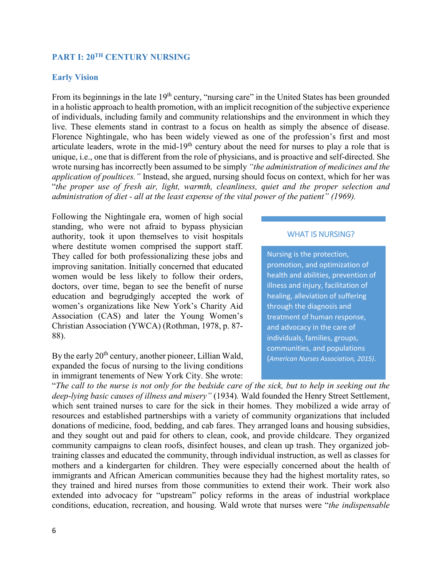# <span id="page-6-0"></span>**PART I: 20TH CENTURY NURSING**

#### <span id="page-6-1"></span>**Early Vision**

From its beginnings in the late 19<sup>th</sup> century, "nursing care" in the United States has been grounded in a holistic approach to health promotion, with an implicit recognition of the subjective experience of individuals, including family and community relationships and the environment in which they live. These elements stand in contrast to a focus on health as simply the absence of disease. Florence Nightingale, who has been widely viewed as one of the profession's first and most articulate leaders, wrote in the mid-19<sup>th</sup> century about the need for nurses to play a role that is unique, i.e., one that is different from the role of physicians, and is proactive and self-directed. She wrote nursing has incorrectly been assumed to be simply *"the administration of medicines and the application of poultices."* Instead, she argued, nursing should focus on context, which for her was "*the proper use of fresh air, light, warmth, cleanliness, quiet and the proper selection and administration of diet - all at the least expense of the vital power of the patient" (1969).*

Following the Nightingale era, women of high social standing, who were not afraid to bypass physician authority, took it upon themselves to visit hospitals where destitute women comprised the support staff. They called for both professionalizing these jobs and improving sanitation. Initially concerned that educated women would be less likely to follow their orders, doctors, over time, began to see the benefit of nurse education and begrudgingly accepted the work of women's organizations like New York's Charity Aid Association (CAS) and later the Young Women's Christian Association (YWCA) (Rothman, 1978, p. 87- 88).

By the early 20<sup>th</sup> century, another pioneer, Lillian Wald, expanded the focus of nursing to the living conditions in immigrant tenements of New York City. She wrote:

#### WHAT IS NURSING?

Nursing is the protection, promotion, and optimization of health and abilities, prevention of illness and injury, facilitation of healing, alleviation of suffering through the diagnosis and treatment of human response, and advocacy in the care of individuals, families, groups, communities, and populations (*American Nurses Association, 2015)*.

"*The call to the nurse is not only for the bedside care of the sick, but to help in seeking out the deep-lying basic causes of illness and misery"* (1934)*.* Wald founded the Henry Street Settlement, which sent trained nurses to care for the sick in their homes. They mobilized a wide array of resources and established partnerships with a variety of community organizations that included donations of medicine, food, bedding, and cab fares. They arranged loans and housing subsidies, and they sought out and paid for others to clean, cook, and provide childcare. They organized community campaigns to clean roofs, disinfect houses, and clean up trash. They organized jobtraining classes and educated the community, through individual instruction, as well as classes for mothers and a kindergarten for children. They were especially concerned about the health of immigrants and African American communities because they had the highest mortality rates, so they trained and hired nurses from those communities to extend their work. Their work also extended into advocacy for "upstream" policy reforms in the areas of industrial workplace conditions, education, recreation, and housing. Wald wrote that nurses were "*the indispensable*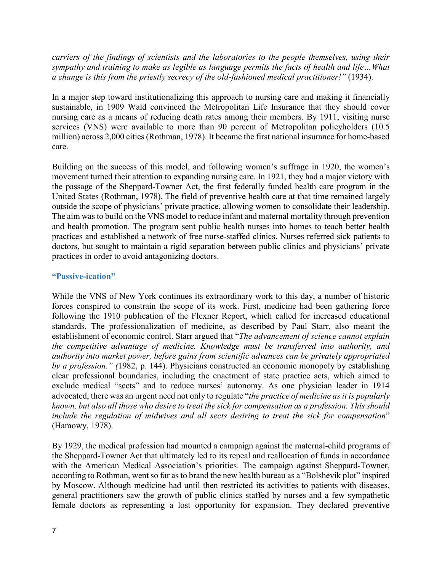*carriers of the findings of scientists and the laboratories to the people themselves, using their sympathy and training to make as legible as language permits the facts of health and life…What a change is this from the priestly secrecy of the old-fashioned medical practitioner!"* (1934).

In a major step toward institutionalizing this approach to nursing care and making it financially sustainable, in 1909 Wald convinced the Metropolitan Life Insurance that they should cover nursing care as a means of reducing death rates among their members. By 1911, visiting nurse services (VNS) were available to more than 90 percent of Metropolitan policyholders (10.5) million) across 2,000 cities (Rothman, 1978). It became the first national insurance for home-based care.

Building on the success of this model, and following women's suffrage in 1920, the women's movement turned their attention to expanding nursing care. In 1921, they had a major victory with the passage of the Sheppard-Towner Act, the first federally funded health care program in the United States (Rothman, 1978). The field of preventive health care at that time remained largely outside the scope of physicians' private practice, allowing women to consolidate their leadership. The aim was to build on the VNS model to reduce infant and maternal mortality through prevention and health promotion. The program sent public health nurses into homes to teach better health practices and established a network of free nurse-staffed clinics. Nurses referred sick patients to doctors, but sought to maintain a rigid separation between public clinics and physicians' private practices in order to avoid antagonizing doctors.

# <span id="page-7-0"></span>**"Passive-ication"**

While the VNS of New York continues its extraordinary work to this day, a number of historic forces conspired to constrain the scope of its work. First, medicine had been gathering force following the 1910 publication of the Flexner Report, which called for increased educational standards. The professionalization of medicine, as described by Paul Starr, also meant the establishment of economic control. Starr argued that "*The advancement of science cannot explain the competitive advantage of medicine. Knowledge must be transferred into authority, and authority into market power, before gains from scientific advances can be privately appropriated by a profession." (*1982, p. 144). Physicians constructed an economic monopoly by establishing clear professional boundaries, including the enactment of state practice acts, which aimed to exclude medical "sects" and to reduce nurses' autonomy. As one physician leader in 1914 advocated, there was an urgent need not only to regulate "*the practice of medicine as it is popularly known, but also all those who desire to treat the sick for compensation as a profession. This should include the regulation of midwives and all sects desiring to treat the sick for compensation*" (Hamowy, 1978).

By 1929, the medical profession had mounted a campaign against the maternal-child programs of the Sheppard-Towner Act that ultimately led to its repeal and reallocation of funds in accordance with the American Medical Association's priorities. The campaign against Sheppard-Towner, according to Rothman, went so far as to brand the new health bureau as a "Bolshevik plot" inspired by Moscow. Although medicine had until then restricted its activities to patients with diseases, general practitioners saw the growth of public clinics staffed by nurses and a few sympathetic female doctors as representing a lost opportunity for expansion. They declared preventive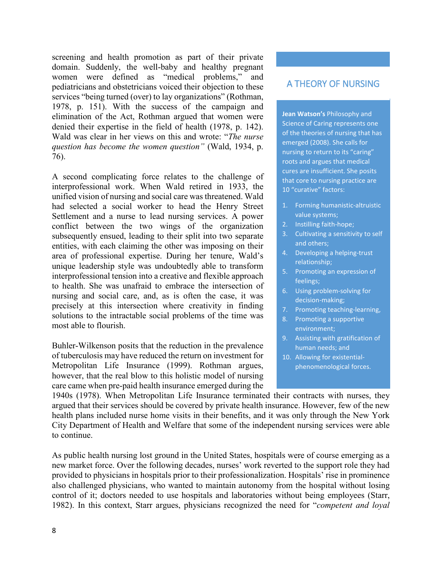screening and health promotion as part of their private domain. Suddenly, the well-baby and healthy pregnant women were defined as "medical problems," and pediatricians and obstetricians voiced their objection to these services "being turned (over) to lay organizations" (Rothman, 1978, p. 151). With the success of the campaign and elimination of the Act, Rothman argued that women were denied their expertise in the field of health (1978, p. 142). Wald was clear in her views on this and wrote: "*The nurse question has become the women question"* (Wald, 1934, p. 76).

A second complicating force relates to the challenge of interprofessional work. When Wald retired in 1933, the unified vision of nursing and social care was threatened. Wald had selected a social worker to head the Henry Street Settlement and a nurse to lead nursing services. A power conflict between the two wings of the organization subsequently ensued, leading to their split into two separate entities, with each claiming the other was imposing on their area of professional expertise. During her tenure, Wald's unique leadership style was undoubtedly able to transform interprofessional tension into a creative and flexible approach to health. She was unafraid to embrace the intersection of nursing and social care, and, as is often the case, it was precisely at this intersection where creativity in finding solutions to the intractable social problems of the time was most able to flourish.

Buhler-Wilkenson posits that the reduction in the prevalence of tuberculosis may have reduced the return on investment for Metropolitan Life Insurance (1999). Rothman argues, however, that the real blow to this holistic model of nursing care came when pre-paid health insurance emerged during the

# A THEORY OF NURSING

**Jean Watson's** Philosophy and Science of Caring represents one of the theories of nursing that has emerged (2008). She calls for nursing to return to its "caring" roots and argues that medical cures are insufficient. She posits that core to nursing practice are 10 "curative" factors:

- 1. Forming humanistic-altruistic value systems;
- 2. Instilling faith-hope;
- 3. Cultivating a sensitivity to self and others;
- 4. Developing a helping-trust relationship;
- 5. Promoting an expression of feelings;
- 6. Using problem-solving for decision-making;
- 7. Promoting teaching-learning,
- 8. Promoting a supportive environment;
- 9. Assisting with gratification of human needs; and
- 10. Allowing for existentialphenomenological forces.

1940s (1978). When Metropolitan Life Insurance terminated their contracts with nurses, they argued that their services should be covered by private health insurance. However, few of the new health plans included nurse home visits in their benefits, and it was only through the New York City Department of Health and Welfare that some of the independent nursing services were able to continue.

As public health nursing lost ground in the United States, hospitals were of course emerging as a new market force. Over the following decades, nurses' work reverted to the support role they had provided to physicians in hospitals prior to their professionalization. Hospitals' rise in prominence also challenged physicians, who wanted to maintain autonomy from the hospital without losing control of it; doctors needed to use hospitals and laboratories without being employees (Starr, 1982). In this context, Starr argues, physicians recognized the need for "*competent and loyal*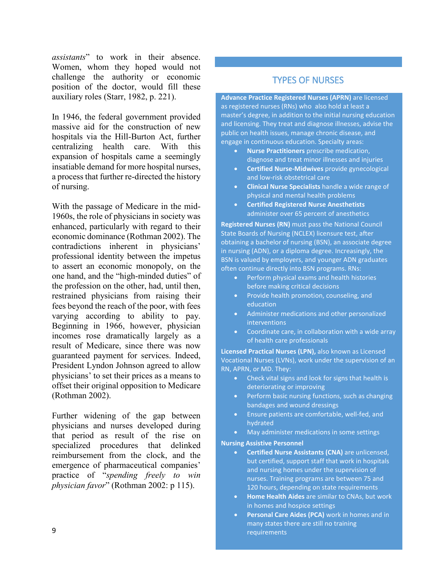*assistants*" to work in their absence. Women, whom they hoped would not challenge the authority or economic position of the doctor, would fill these auxiliary roles (Starr, 1982, p. 221).

In 1946, the federal government provided massive aid for the construction of new hospitals via [the Hill-Burton Act,](https://www.npr.org/sections/health-shots/2016/10/02/495775518/a-bygone-era-when-bipartisanship-led-to-health-care-transformation) further centralizing health care. With this expansion of hospitals came a seemingly insatiable demand for more hospital nurses, a process that further re-directed the history of nursing.

With the passage of Medicare in the mid-1960s, the role of physicians in society was enhanced, particularly with regard to their economic dominance (Rothman 2002). The contradictions inherent in physicians' professional identity between the impetus to assert an economic monopoly, on the one hand, and the "high-minded duties" of the profession on the other, had, until then, restrained physicians from raising their fees beyond the reach of the poor, with fees varying according to ability to pay. Beginning in 1966, however, physician incomes rose dramatically largely as a result of Medicare, since there was now guaranteed payment for services. Indeed, President Lyndon Johnson agreed to allow physicians' to set their prices as a means to offset their original opposition to Medicare (Rothman 2002).

Further widening of the gap between physicians and nurses developed during that period as result of the rise on specialized procedures that delinked reimbursement from the clock, and the emergence of pharmaceutical companies' practice of "*spending freely to win physician favor*" (Rothman 2002: p 115).

# TYPES OF NURSES

**Advance Practice Registered Nurses (APRN)** are licensed as registered nurses (RNs) who also hold at least a master's degree, in addition to the initial nursing education and licensing. They treat and diagnose illnesses, advise the public on health issues, manage chronic disease, and engage in continuous education. Specialty areas:

- **Nurse Practitioners** prescribe medication, diagnose and treat minor illnesses and injuries
- **Certified Nurse-Midwives** provide gynecological and low-risk obstetrical care
- **Clinical Nurse Specialists** handle a wide range of physical and mental health problems
- **Certified Registered Nurse Anesthetists** administer over 65 percent of anesthetics

**Registered Nurses (RN)** must pass the National Council State Boards of Nursing (NCLEX) licensure test, after obtaining a bachelor of nursing (BSN), an associate degree in nursing (ADN), or a diploma degree. Increasingly, the BSN is valued by employers, and younger ADN graduates often continue directly into BSN programs. RNs:

- Perform physical exams and health histories before making critical decisions
- Provide health promotion, counseling, and education
- Administer medications and other personalized interventions
- Coordinate care, in collaboration with a wide array of health care professionals

**Licensed Practical Nurses (LPN),** also known as Licensed Vocational Nurses (LVNs), work under the supervision of an RN, APRN, or MD. They:

- Check vital signs and look for signs that health is deteriorating or improving
- Perform basic nursing functions, such as changing bandages and wound dressings
- Ensure patients are comfortable, well-fed, and hydrated
- May administer medications in some settings

#### **Nursing Assistive Personnel**

- **Certified Nurse Assistants (CNA)** are unlicensed, but certified, support staff that work in hospitals and nursing homes under the supervision of nurses. Training programs are between 75 and 120 hours, depending on state requirements
- **Home Health Aides** are similar to CNAs, but work in homes and hospice settings
- **Personal Care Aides (PCA)** work in homes and in many states there are still no training requirements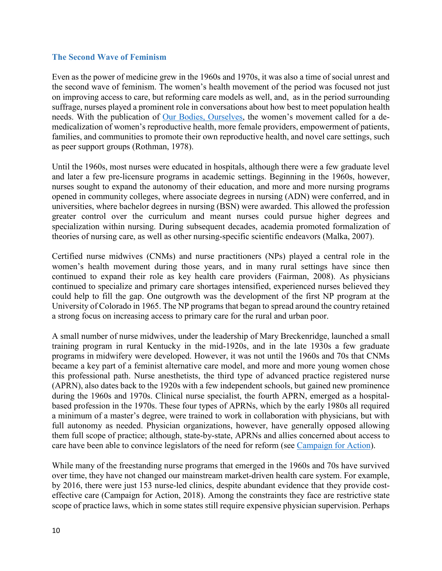#### <span id="page-10-0"></span>**The Second Wave of Feminism**

Even as the power of medicine grew in the 1960s and 1970s, it was also a time of social unrest and the second wave of feminism. The women's health movement of the period was focused not just on improving access to care, but reforming care models as well, and, as in the period surrounding suffrage, nurses played a prominent role in conversations about how best to meet population health needs. With the publication of [Our Bodies, Ourselves,](https://www.ourbodiesourselves.org/) the women's movement called for a demedicalization of women's reproductive health, more female providers, empowerment of patients, families, and communities to promote their own reproductive health, and novel care settings, such as peer support groups (Rothman, 1978).

Until the 1960s, most nurses were educated in hospitals, although there were a few graduate level and later a few pre-licensure programs in academic settings. Beginning in the 1960s, however, nurses sought to expand the autonomy of their education, and more and more nursing programs opened in community colleges, where associate degrees in nursing (ADN) were conferred, and in universities, where bachelor degrees in nursing (BSN) were awarded. This allowed the profession greater control over the curriculum and meant nurses could pursue higher degrees and specialization within nursing. During subsequent decades, academia promoted formalization of theories of nursing care, as well as other nursing-specific scientific endeavors (Malka, 2007).

Certified nurse midwives (CNMs) and nurse practitioners (NPs) played a central role in the women's health movement during those years, and in many rural settings have since then continued to expand their role as key health care providers (Fairman, 2008). As physicians continued to specialize and primary care shortages intensified, experienced nurses believed they could help to fill the gap. One outgrowth was the development of the first NP program at the University of Colorado in 1965. The NP programs that began to spread around the country retained a strong focus on increasing access to primary care for the rural and urban poor.

A small number of nurse midwives, under the leadership of Mary Breckenridge, launched a small training program in rural Kentucky in the mid-1920s, and in the late 1930s a few graduate programs in midwifery were developed. However, it was not until the 1960s and 70s that CNMs became a key part of a feminist alternative care model, and more and more young women chose this professional path. Nurse anesthetists, the third type of advanced practice registered nurse (APRN), also dates back to the 1920s with a few independent schools, but gained new prominence during the 1960s and 1970s. Clinical nurse specialist, the fourth APRN, emerged as a hospitalbased profession in the 1970s. These four types of APRNs, which by the early 1980s all required a minimum of a master's degree, were trained to work in collaboration with physicians, but with full autonomy as needed. Physician organizations, however, have generally opposed allowing them full scope of practice; although, state-by-state, APRNs and allies concerned about access to care have been able to convince legislators of the need for reform (see [Campaign for Action\)](https://campaignforaction.org/issue/improving-access-to-care/).

While many of the freestanding nurse programs that emerged in the 1960s and 70s have survived over time, they have not changed our mainstream market-driven health care system. For example, by 2016, there were just 153 nurse-led clinics, despite abundant evidence that they provide costeffective care (Campaign for Action, 2018). Among the constraints they face are restrictive state scope of practice laws, which in some states still require expensive physician supervision. Perhaps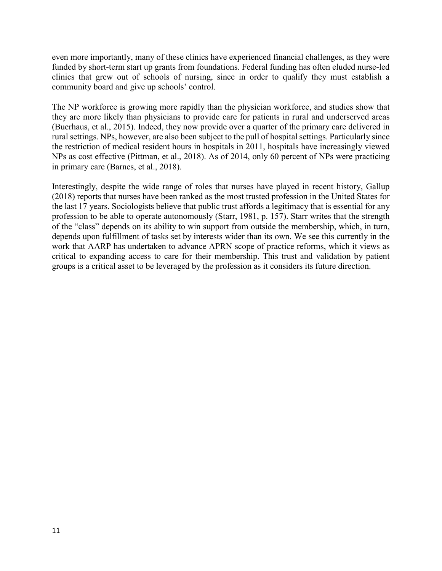even more importantly, many of these clinics have experienced financial challenges, as they were funded by short-term start up grants from foundations. Federal funding has often eluded nurse-led clinics that grew out of schools of nursing, since in order to qualify they must establish a community board and give up schools' control.

The NP workforce is growing more rapidly than the physician workforce, and studies show that they are more likely than physicians to provide care for patients in rural and underserved areas (Buerhaus, et al., 2015). Indeed, they now provide over a quarter of the primary care delivered in rural settings. NPs, however, are also been subject to the pull of hospital settings. Particularly since the restriction of medical resident hours in hospitals in 2011, hospitals have increasingly viewed NPs as cost effective (Pittman, et al., 2018). As of 2014, only 60 percent of NPs were practicing in primary care (Barnes, et al., 2018).

Interestingly, despite the wide range of roles that nurses have played in recent history, Gallup (2018) reports that nurses have been ranked as the most trusted profession in the United States for the last 17 years. Sociologists believe that public trust affords a legitimacy that is essential for any profession to be able to operate autonomously (Starr, 1981, p. 157). Starr writes that the strength of the "class" depends on its ability to win support from outside the membership, which, in turn, depends upon fulfillment of tasks set by interests wider than its own. We see this currently in the work that AARP has undertaken to advance APRN scope of practice reforms, which it views as critical to expanding access to care for their membership. This trust and validation by patient groups is a critical asset to be leveraged by the profession as it considers its future direction.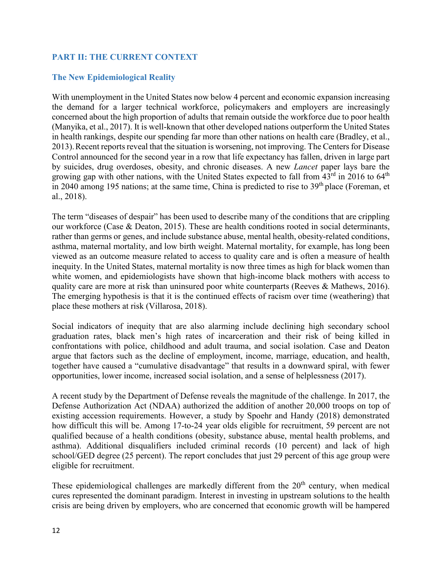# <span id="page-12-0"></span>**PART II: THE CURRENT CONTEXT**

# <span id="page-12-1"></span>**The New Epidemiological Reality**

With unemployment in the United States now below 4 percent and economic expansion increasing the demand for a larger technical workforce, policymakers and employers are increasingly concerned about the high proportion of adults that remain outside the workforce due to poor health (Manyika, et al., 2017). It is well-known that other developed nations outperform the United States in health rankings, despite our spending far more than other nations on health care (Bradley, et al., 2013).Recent reports reveal that the situation is worsening, not improving. The Centersfor Disease Control announced for the second year in a row that life expectancy has fallen, driven in large part by suicides, drug overdoses, obesity, and chronic diseases. A new *Lancet* paper lays bare the growing gap with other nations, with the United States expected to fall from  $43<sup>rd</sup>$  in 2016 to  $64<sup>th</sup>$ in 2040 among 195 nations; at the same time, China is predicted to rise to  $39<sup>th</sup>$  place (Foreman, et al., 2018).

The term "diseases of despair" has been used to describe many of the conditions that are crippling our workforce (Case & Deaton, 2015). These are health conditions rooted in social determinants, rather than germs or genes, and include substance abuse, mental health, obesity-related conditions, asthma, maternal mortality, and low birth weight. Maternal mortality, for example, has long been viewed as an outcome measure related to access to quality care and is often a measure of health inequity. In the United States, maternal mortality is now three times as high for black women than white women, and epidemiologists have shown that high-income black mothers with access to quality care are more at risk than uninsured poor white counterparts (Reeves & Mathews, 2016). The emerging hypothesis is that it is the continued effects of racism over time (weathering) that place these mothers at risk (Villarosa, 2018).

Social indicators of inequity that are also alarming include declining high secondary school graduation rates, black men's high rates of incarceration and their risk of being killed in confrontations with police, childhood and adult trauma, and social isolation. Case and Deaton argue that factors such as the decline of employment, income, marriage, education, and health, together have caused a "cumulative disadvantage" that results in a downward spiral, with fewer opportunities, lower income, increased social isolation, and a sense of helplessness (2017).

A recent study by the Department of Defense reveals the magnitude of the challenge. In 2017, the Defense Authorization Act (NDAA) authorized the addition of another 20,000 troops on top of existing accession requirements. However, a study by Spoehr and Handy (2018) demonstrated how difficult this will be. Among 17-to-24 year olds eligible for recruitment, 59 percent are not qualified because of a health conditions (obesity, substance abuse, mental health problems, and asthma). Additional disqualifiers included criminal records (10 percent) and lack of high school/GED degree (25 percent). The report concludes that just 29 percent of this age group were eligible for recruitment.

These epidemiological challenges are markedly different from the 20<sup>th</sup> century, when medical cures represented the dominant paradigm. Interest in investing in upstream solutions to the health crisis are being driven by employers, who are concerned that economic growth will be hampered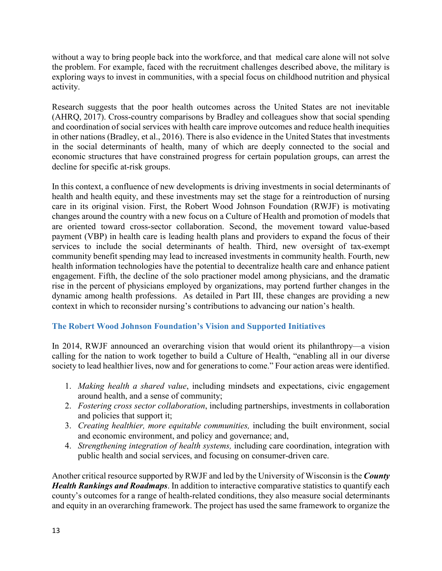without a way to bring people back into the workforce, and that medical care alone will not solve the problem. For example, faced with the recruitment challenges described above, the military is exploring ways to invest in communities, with a special focus on childhood nutrition and physical activity.

Research suggests that the poor health outcomes across the United States are not inevitable (AHRQ, 2017). Cross-country comparisons by Bradley and colleagues show that social spending and coordination of social services with health care improve outcomes and reduce health inequities in other nations (Bradley, et al., 2016). There is also evidence in the United States that investments in the social determinants of health, many of which are deeply connected to the social and economic structures that have constrained progress for certain population groups, can arrest the decline for specific at-risk groups.

In this context, a confluence of new developments is driving investments in social determinants of health and health equity, and these investments may set the stage for a reintroduction of nursing care in its original vision. First, the Robert Wood Johnson Foundation (RWJF) is motivating changes around the country with a new focus on a Culture of Health and promotion of models that are oriented toward cross-sector collaboration. Second, the movement toward value-based payment (VBP) in health care is leading health plans and providers to expand the focus of their services to include the social determinants of health. Third, new oversight of tax-exempt community benefit spending may lead to increased investments in community health. Fourth, new health information technologies have the potential to decentralize health care and enhance patient engagement. Fifth, the decline of the solo practioner model among physicians, and the dramatic rise in the percent of physicians employed by organizations, may portend further changes in the dynamic among health professions. As detailed in Part III, these changes are providing a new context in which to reconsider nursing's contributions to advancing our nation's health.

# <span id="page-13-0"></span>**The Robert Wood Johnson Foundation's Vision and Supported Initiatives**

In 2014, RWJF announced an overarching vision that would orient its philanthropy—a vision calling for the nation to work together to build a Culture of Health, "enabling all in our diverse society to lead healthier lives, now and for generations to come." Four action areas were identified.

- 1. *Making health a shared value*, including mindsets and expectations, civic engagement around health, and a sense of community;
- 2. *Fostering cross sector collaboration*, including partnerships, investments in collaboration and policies that support it;
- 3. *Creating healthier, more equitable communities,* including the built environment, social and economic environment, and policy and governance; and,
- 4. *Strengthening integration of health systems,* including care coordination, integration with public health and social services, and focusing on consumer-driven care.

Another critical resource supported by RWJF and led by the University of Wisconsin is the *County Health Rankings and Roadmaps*. In addition to interactive comparative statistics to quantify each county's outcomes for a range of health-related conditions, they also measure social determinants and equity in an overarching framework. The project has used the same framework to organize the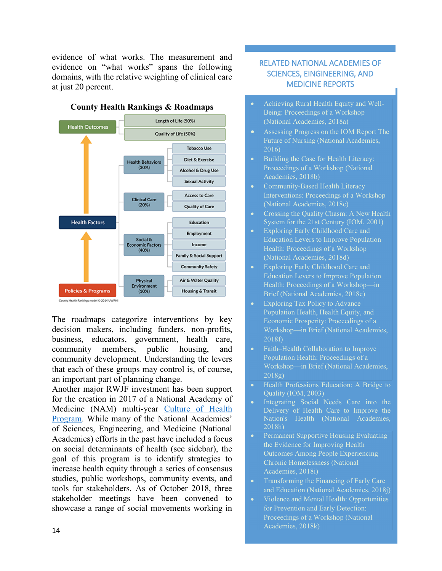evidence of what works. The measurement and evidence on "what works" spans the following domains, with the relative weighting of clinical care at just 20 percent.



**County Health Rankings & Roadmaps**

The roadmaps categorize interventions by key decision makers, including funders, non-profits, business, educators, government, health care, community members, public housing, and community development. Understanding the levers that each of these groups may control is, of course, an important part of planning change.

Another major RWJF investment has been support for the creation in 2017 of a National Academy of Medicine (NAM) multi-year [Culture of Health](https://nam.edu/programs/culture-of-health/)  [Program.](https://nam.edu/programs/culture-of-health/) While many of the National Academies' of Sciences, Engineering, and Medicine (National Academies) efforts in the past have included a focus on social determinants of health (see sidebar), the goal of this program is to identify strategies to increase health equity through a series of consensus studies, public workshops, community events, and tools for stakeholders. As of October 2018, three stakeholder meetings have been convened to showcase a range of social movements working in

# RELATED NATIONAL ACADEMIES OF SCIENCES, EINGINEERING, AND MEDICINE REPORTS

- Achieving Rural Health Equity and Well-Being: Proceedings of a Workshop (National Academies, 2018a)
- Assessing Progress on the IOM Report The Future of Nursing (National Academies, 2016)
- Building the Case for Health Literacy: Proceedings of a Workshop (National Academies, 2018b)
- Community-Based Health Literacy Interventions: Proceedings of a Workshop (National Academies, 2018c)
- Crossing the Quality Chasm: A New Health System for the 21st Century (IOM, 2001)
- Exploring Early Childhood Care and Education Levers to Improve Population Health: Proceedings of a Workshop (National Academies, 2018d)
- Exploring Early Childhood Care and Education Levers to Improve Population Health: Proceedings of a Workshop—in Brief (National Academies, 2018e)
- **Exploring Tax Policy to Advance** Population Health, Health Equity, and Economic Prosperity: Proceedings of a Workshop—in Brief (National Academies, 2018f)
- Faith–Health Collaboration to Improve Population Health: Proceedings of a Workshop—in Brief (National Academies, 2018g)
- Health Professions Education: A Bridge to Quality (IOM, 2003)
- Integrating Social Needs Care into the Delivery of Health Care to Improve the Nation's Health (National Academies, 2018h)
- Permanent Supportive Housing Evaluating the Evidence for Improving Health Outcomes Among People Experiencing Chronic Homelessness (National Academies, 2018i)
- Transforming the Financing of Early Care and Education (National Academies, 2018j)
- Violence and Mental Health: Opportunities for Prevention and Early Detection: Proceedings of a Workshop (National Academies, 2018k)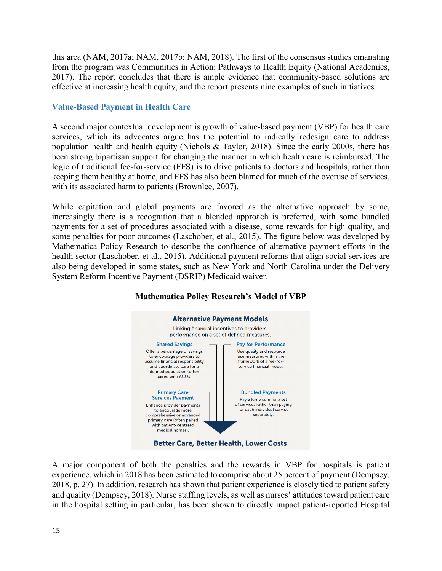this area (NAM, 2017a; NAM, 2017b; NAM, 2018). The first of the consensus studies emanating from the program was Communities in Action: Pathways to Health Equity (National Academies, 2017). The report concludes that there is ample evidence that community-based solutions are effective at increasing health equity, and the report presents nine examples of such initiatives*.* 

# <span id="page-15-0"></span>**Value-Based Payment in Health Care**

A second major contextual development is growth of value-based payment (VBP) for health care services, which its advocates argue has the potential to radically redesign care to address population health and health equity (Nichols & Taylor, 2018). Since the early 2000s, there has been strong bipartisan support for changing the manner in which health care is reimbursed. The logic of traditional fee-for-service (FFS) is to drive patients to doctors and hospitals, rather than keeping them healthy at home, and FFS has also been blamed for much of the overuse of services, with its associated harm to patients (Brownlee, 2007).

While capitation and global payments are favored as the alternative approach by some, increasingly there is a recognition that a blended approach is preferred, with some bundled payments for a set of procedures associated with a disease, some rewards for high quality, and some penalties for poor outcomes (Laschober, et al., 2015). The figure below was developed by Mathematica Policy Research to describe the confluence of alternative payment efforts in the health sector (Laschober, et al., 2015). Additional payment reforms that align social services are also being developed in some states, such as New York and North Carolina under the Delivery System Reform Incentive Payment (DSRIP) Medicaid waiver.

# **Mathematica Policy Research's Model of VBP**



A major component of both the penalties and the rewards in VBP for hospitals is patient experience, which in 2018 has been estimated to comprise about 25 percent of payment (Dempsey, 2018, p. 27). In addition, research has shown that patient experience is closely tied to patient safety and quality (Dempsey, 2018). Nurse staffing levels, as well as nurses' attitudes toward patient care in the hospital setting in particular, has been shown to directly impact patient-reported Hospital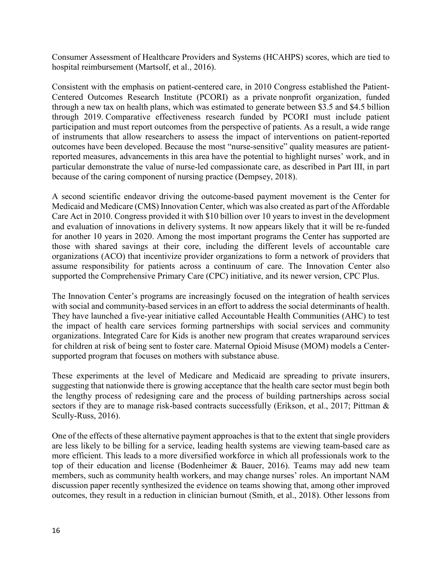Consumer Assessment of Healthcare Providers and Systems (HCAHPS) scores, which are tied to hospital reimbursement (Martsolf, et al., 2016).

Consistent with the emphasis on patient-centered care, in 2010 Congress established the Patient-Centered Outcomes Research Institute (PCORI) as a private nonprofit organization, funded through a new tax on health plans, which was estimated to generate between \$3.5 and \$4.5 billion through 2019. Comparative effectiveness research funded by PCORI must include patient participation and must report outcomes from the perspective of patients. As a result, a wide range of instruments that allow researchers to assess the impact of interventions on patient-reported outcomes have been developed. Because the most "nurse-sensitive" quality measures are patientreported measures, advancements in this area have the potential to highlight nurses' work, and in particular demonstrate the value of nurse-led compassionate care, as described in Part III, in part because of the caring component of nursing practice (Dempsey, 2018).

A second scientific endeavor driving the outcome-based payment movement is the Center for Medicaid and Medicare (CMS) Innovation Center, which was also created as part of the Affordable Care Act in 2010. Congress provided it with \$10 billion over 10 years to invest in the development and evaluation of innovations in delivery systems. It now appears likely that it will be re-funded for another 10 years in 2020. Among the most important programs the Center has supported are those with shared savings at their core, including the different levels of accountable care organizations (ACO) that incentivize provider organizations to form a network of providers that assume responsibility for patients across a continuum of care. The Innovation Center also supported the Comprehensive Primary Care (CPC) initiative, and its newer version, CPC Plus.

The Innovation Center's programs are increasingly focused on the integration of health services with social and community-based services in an effort to address the social determinants of health. They have launched a five-year initiative called Accountable Health Communities (AHC) to test the impact of health care services forming partnerships with social services and community organizations. Integrated Care for Kids is another new program that creates wraparound services for children at risk of being sent to foster care. Maternal Opioid Misuse (MOM) models a Centersupported program that focuses on mothers with substance abuse.

These experiments at the level of Medicare and Medicaid are spreading to private insurers, suggesting that nationwide there is growing acceptance that the health care sector must begin both the lengthy process of redesigning care and the process of building partnerships across social sectors if they are to manage risk-based contracts successfully (Erikson, et al., 2017; Pittman & Scully-Russ, 2016).

One of the effects of these alternative payment approaches is that to the extent that single providers are less likely to be billing for a service, leading health systems are viewing team-based care as more efficient. This leads to a more diversified workforce in which all professionals work to the top of their education and license (Bodenheimer & Bauer, 2016). Teams may add new team members, such as community health workers, and may change nurses' roles. An important NAM discussion paper recently synthesized the evidence on teams showing that, among other improved outcomes, they result in a reduction in clinician burnout (Smith, et al., 2018). Other lessons from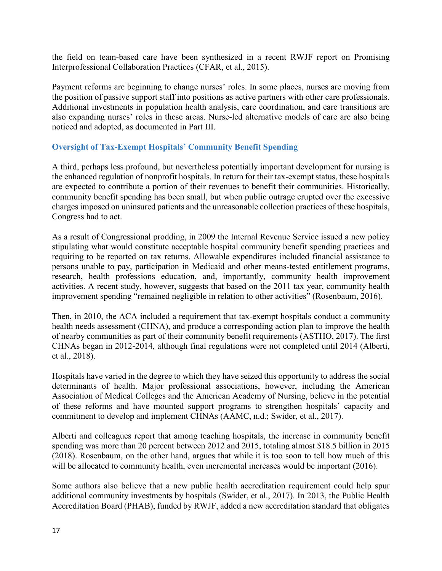the field on team-based care have been synthesized in a recent RWJF report on Promising Interprofessional Collaboration Practices (CFAR, et al., 2015).

Payment reforms are beginning to change nurses' roles. In some places, nurses are moving from the position of passive support staff into positions as active partners with other care professionals. Additional investments in population health analysis, care coordination, and care transitions are also expanding nurses' roles in these areas. Nurse-led alternative models of care are also being noticed and adopted, as documented in Part III.

# <span id="page-17-0"></span>**Oversight of Tax-Exempt Hospitals' Community Benefit Spending**

A third, perhaps less profound, but nevertheless potentially important development for nursing is the enhanced regulation of nonprofit hospitals. In return for their tax-exempt status, these hospitals are expected to contribute a portion of their revenues to benefit their communities. Historically, community benefit spending has been small, but when public outrage erupted over the excessive charges imposed on uninsured patients and the unreasonable collection practices of these hospitals, Congress had to act.

As a result of Congressional prodding, in 2009 the Internal Revenue Service issued a new policy stipulating what would constitute acceptable hospital community benefit spending practices and requiring to be reported on tax returns. Allowable expenditures included financial assistance to persons unable to pay, participation in Medicaid and other means‐tested entitlement programs, research, health professions education, and, importantly, community health improvement activities. A recent study, however, suggests that based on the 2011 tax year, community health improvement spending "remained negligible in relation to other activities" (Rosenbaum, 2016).

Then, in 2010, the ACA included a requirement that tax-exempt hospitals conduct a community health needs assessment (CHNA), and produce a corresponding action plan to improve the health of nearby communities as part of their community benefit requirements (ASTHO, 2017). The first CHNAs began in 2012-2014, although final regulations were not completed until 2014 (Alberti, et al., 2018).

Hospitals have varied in the degree to which they have seized this opportunity to address the social determinants of health. Major professional associations, however, including the American Association of Medical Colleges and the American Academy of Nursing, believe in the potential of these reforms and have mounted support programs to strengthen hospitals' capacity and commitment to develop and implement CHNAs (AAMC, n.d.; Swider, et al., 2017).

Alberti and colleagues report that among teaching hospitals, the increase in community benefit spending was more than 20 percent between 2012 and 2015, totaling almost \$18.5 billion in 2015 (2018). Rosenbaum, on the other hand, argues that while it is too soon to tell how much of this will be allocated to community health, even incremental increases would be important (2016).

Some authors also believe that a new public health accreditation requirement could help spur additional community investments by hospitals (Swider, et al., 2017). In 2013, the Public Health Accreditation Board (PHAB), funded by RWJF, added a new accreditation standard that obligates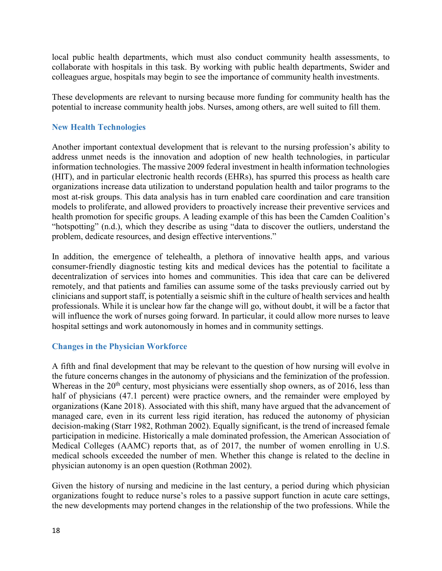local public health departments, which must also conduct community health assessments, to collaborate with hospitals in this task. By working with public health departments, Swider and colleagues argue, hospitals may begin to see the importance of community health investments.

These developments are relevant to nursing because more funding for community health has the potential to increase community health jobs. Nurses, among others, are well suited to fill them.

# <span id="page-18-0"></span>**New Health Technologies**

Another important contextual development that is relevant to the nursing profession's ability to address unmet needs is the innovation and adoption of new health technologies, in particular information technologies. The massive 2009 federal investment in health information technologies (HIT), and in particular electronic health records (EHRs), has spurred this process as health care organizations increase data utilization to understand population health and tailor programs to the most at-risk groups. This data analysis has in turn enabled care coordination and care transition models to proliferate, and allowed providers to proactively increase their preventive services and health promotion for specific groups. A leading example of this has been the Camden Coalition's "hotspotting" (n.d.), which they describe as using "data to discover the outliers, understand the problem, dedicate resources, and design effective interventions."

In addition, the emergence of telehealth, a plethora of innovative health apps, and various consumer-friendly diagnostic testing kits and medical devices has the potential to facilitate a decentralization of services into homes and communities. This idea that care can be delivered remotely, and that patients and families can assume some of the tasks previously carried out by clinicians and support staff, is potentially a seismic shift in the culture of health services and health professionals. While it is unclear how far the change will go, without doubt, it will be a factor that will influence the work of nurses going forward. In particular, it could allow more nurses to leave hospital settings and work autonomously in homes and in community settings.

# <span id="page-18-1"></span>**Changes in the Physician Workforce**

A fifth and final development that may be relevant to the question of how nursing will evolve in the future concerns changes in the autonomy of physicians and the feminization of the profession. Whereas in the  $20<sup>th</sup>$  century, most physicians were essentially shop owners, as of  $2016$ , less than half of physicians (47.1 percent) were practice owners, and the remainder were employed by organizations (Kane 2018). Associated with this shift, many have argued that the advancement of managed care, even in its current less rigid iteration, has reduced the autonomy of physician decision-making (Starr 1982, Rothman 2002). Equally significant, is the trend of increased female participation in medicine. Historically a male dominated profession, the American Association of Medical Colleges (AAMC) reports that, as of 2017, the number of women enrolling in U.S. medical schools exceeded the number of men. Whether this change is related to the decline in physician autonomy is an open question (Rothman 2002).

Given the history of nursing and medicine in the last century, a period during which physician organizations fought to reduce nurse's roles to a passive support function in acute care settings, the new developments may portend changes in the relationship of the two professions. While the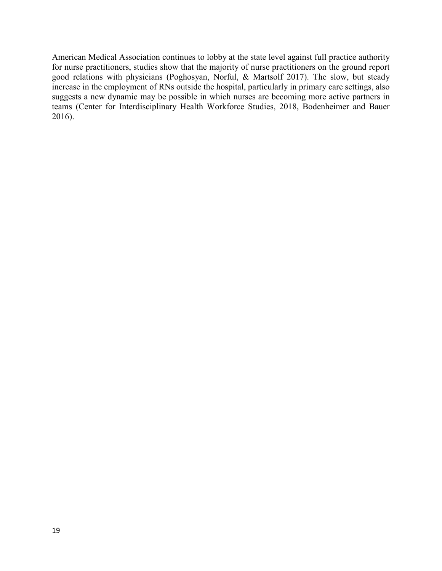American Medical Association continues to lobby at the state level against full practice authority for nurse practitioners, studies show that the majority of nurse practitioners on the ground report good relations with physicians (Poghosyan, Norful, & Martsolf 2017). The slow, but steady increase in the employment of RNs outside the hospital, particularly in primary care settings, also suggests a new dynamic may be possible in which nurses are becoming more active partners in teams [\(Center for Interdisciplinary Health Workforce Studies,](http://healthworkforcestudies.com/) 2018, Bodenheimer and Bauer 2016).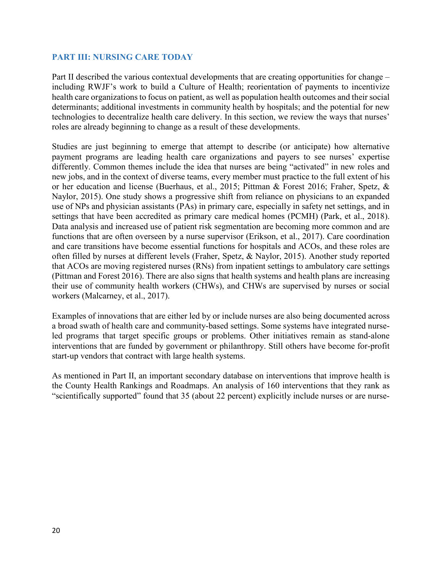#### <span id="page-20-0"></span>**PART III: NURSING CARE TODAY**

Part II described the various contextual developments that are creating opportunities for change – including RWJF's work to build a Culture of Health; reorientation of payments to incentivize health care organizations to focus on patient, as well as population health outcomes and their social determinants; additional investments in community health by hospitals; and the potential for new technologies to decentralize health care delivery. In this section, we review the ways that nurses' roles are already beginning to change as a result of these developments.

Studies are just beginning to emerge that attempt to describe (or anticipate) how alternative payment programs are leading health care organizations and payers to see nurses' expertise differently. Common themes include the idea that nurses are being "activated" in new roles and new jobs, and in the context of diverse teams, every member must practice to the full extent of his or her education and license (Buerhaus, et al., 2015; Pittman & Forest 2016; Fraher, Spetz, & Naylor, 2015). One study shows a progressive shift from reliance on physicians to an expanded use of NPs and physician assistants (PAs) in primary care, especially in safety net settings, and in settings that have been accredited as primary care medical homes (PCMH) (Park, et al., 2018). Data analysis and increased use of patient risk segmentation are becoming more common and are functions that are often overseen by a nurse supervisor (Erikson, et al., 2017). Care coordination and care transitions have become essential functions for hospitals and ACOs, and these roles are often filled by nurses at different levels (Fraher, Spetz, & Naylor, 2015). Another study reported that ACOs are moving registered nurses (RNs) from inpatient settings to ambulatory care settings (Pittman and Forest 2016). There are also signs that health systems and health plans are increasing their use of community health workers (CHWs), and CHWs are supervised by nurses or social workers (Malcarney, et al., 2017).

Examples of innovations that are either led by or include nurses are also being documented across a broad swath of health care and community-based settings. Some systems have integrated nurseled programs that target specific groups or problems. Other initiatives remain as stand-alone interventions that are funded by government or philanthropy. Still others have become for-profit start-up vendors that contract with large health systems.

As mentioned in Part II, an important secondary database on interventions that improve health is the County Health Rankings and Roadmaps. An analysis of 160 interventions that they rank as "scientifically supported" found that 35 (about 22 percent) explicitly include nurses or are nurse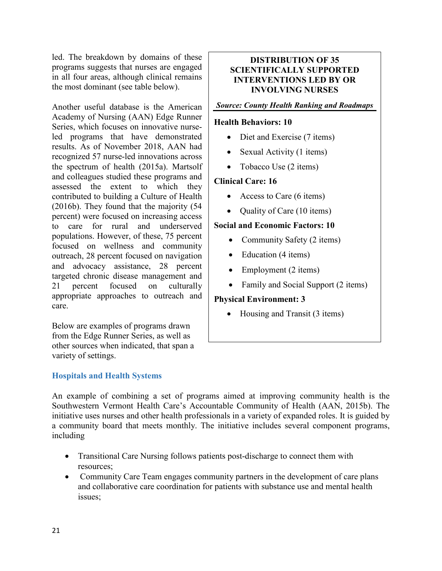led. The breakdown by domains of these programs suggests that nurses are engaged in all four areas, although clinical remains the most dominant (see table below).

Another useful database is the American Academy of Nursing (AAN) Edge Runner Series, which focuses on innovative nurseled programs that have demonstrated results. As of November 2018, AAN had recognized 57 nurse-led innovations across the spectrum of health (2015a). Martsolf and colleagues studied these programs and assessed the extent to which they contributed to building a Culture of Health (2016b). They found that the majority (54 percent) were focused on increasing access to care for rural and underserved populations. However, of these, 75 percent focused on wellness and community outreach, 28 percent focused on navigation and advocacy assistance, 28 percent targeted chronic disease management and 21 percent focused on culturally appropriate approaches to outreach and care.

Below are examples of programs drawn from the Edge Runner Series, as well as other sources when indicated, that span a variety of settings.

# <span id="page-21-0"></span>**Hospitals and Health Systems**

# **DISTRIBUTION OF 35 SCIENTIFICALLY SUPPORTED INTERVENTIONS LED BY OR INVOLVING NURSES**

#### *Source: County Health Ranking and Roadmaps*

#### **Health Behaviors: 10**

- Diet and Exercise (7 items)
- Sexual Activity (1 items)
- Tobacco Use (2 items)

#### **Clinical Care: 16**

- Access to Care (6 items)
- Quality of Care (10 items)

#### **Social and Economic Factors: 10**

- Community Safety (2 items)
- Education (4 items)
- Employment  $(2 \text{ items})$
- Family and Social Support (2 items)

#### **Physical Environment: 3**

• Housing and Transit (3 items)

An example of combining a set of programs aimed at improving community health is the Southwestern Vermont Health Care's Accountable Community of Health (AAN, 2015b). The initiative uses nurses and other health professionals in a variety of expanded roles. It is guided by a community board that meets monthly. The initiative includes several component programs, including

- Transitional Care Nursing follows patients post-discharge to connect them with resources;
- Community Care Team engages community partners in the development of care plans and collaborative care coordination for patients with substance use and mental health issues;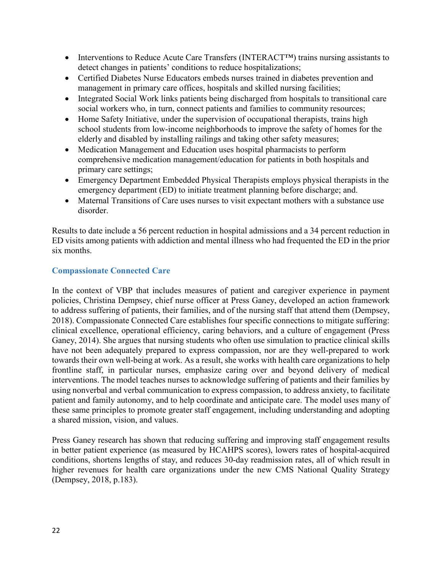- Interventions to Reduce Acute Care Transfers (INTERACT<sup>TM</sup>) trains nursing assistants to detect changes in patients' conditions to reduce hospitalizations;
- Certified Diabetes Nurse Educators embeds nurses trained in diabetes prevention and management in primary care offices, hospitals and skilled nursing facilities;
- Integrated Social Work links patients being discharged from hospitals to transitional care social workers who, in turn, connect patients and families to community resources;
- Home Safety Initiative, under the supervision of occupational therapists, trains high school students from low-income neighborhoods to improve the safety of homes for the elderly and disabled by installing railings and taking other safety measures;
- Medication Management and Education uses hospital pharmacists to perform comprehensive medication management/education for patients in both hospitals and primary care settings;
- Emergency Department Embedded Physical Therapists employs physical therapists in the emergency department (ED) to initiate treatment planning before discharge; and.
- Maternal Transitions of Care uses nurses to visit expectant mothers with a substance use disorder.

Results to date include a 56 percent reduction in hospital admissions and a 34 percent reduction in ED visits among patients with addiction and mental illness who had frequented the ED in the prior six months.

# <span id="page-22-0"></span>**Compassionate Connected Care**

In the context of VBP that includes measures of patient and caregiver experience in payment policies, Christina Dempsey, chief nurse officer at Press Ganey, developed an action framework to address suffering of patients, their families, and of the nursing staff that attend them (Dempsey, 2018). Compassionate Connected Care establishes four specific connections to mitigate suffering: clinical excellence, operational efficiency, caring behaviors, and a culture of engagement (Press Ganey, 2014). She argues that nursing students who often use simulation to practice clinical skills have not been adequately prepared to express compassion, nor are they well-prepared to work towards their own well-being at work. As a result, she works with health care organizations to help frontline staff, in particular nurses, emphasize caring over and beyond delivery of medical interventions. The model teaches nurses to acknowledge suffering of patients and their families by using nonverbal and verbal communication to express compassion, to address anxiety, to facilitate patient and family autonomy, and to help coordinate and anticipate care. The model uses many of these same principles to promote greater staff engagement, including understanding and adopting a shared mission, vision, and values.

Press Ganey research has shown that reducing suffering and improving staff engagement results in better patient experience (as measured by HCAHPS scores), lowers rates of hospital-acquired conditions, shortens lengths of stay, and reduces 30-day readmission rates, all of which result in higher revenues for health care organizations under the new CMS National Quality Strategy (Dempsey, 2018, p.183).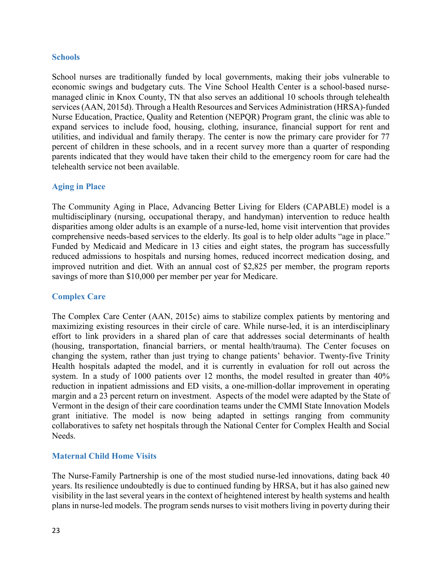#### <span id="page-23-0"></span>**Schools**

School nurses are traditionally funded by local governments, making their jobs vulnerable to economic swings and budgetary cuts. The Vine School Health Center is a school-based nursemanaged clinic in Knox County, TN that also serves an additional 10 schools through telehealth services (AAN, 2015d). Through a Health Resources and Services Administration (HRSA)-funded Nurse Education, Practice, Quality and Retention (NEPQR) Program grant, the clinic was able to expand services to include food, housing, clothing, insurance, financial support for rent and utilities, and individual and family therapy. The center is now the primary care provider for 77 percent of children in these schools, and in a recent survey more than a quarter of responding parents indicated that they would have taken their child to the emergency room for care had the telehealth service not been available.

# <span id="page-23-1"></span>**Aging in Place**

The Community Aging in Place, Advancing Better Living for Elders (CAPABLE) model is a multidisciplinary (nursing, occupational therapy, and handyman) intervention to reduce health disparities among older adults is an example of a nurse-led, home visit intervention that provides comprehensive needs-based services to the elderly. Its goal is to help older adults "age in place." Funded by Medicaid and Medicare in 13 cities and eight states, the program has successfully reduced admissions to hospitals and nursing homes, reduced incorrect medication dosing, and improved nutrition and diet. With an annual cost of \$2,825 per member, the program reports savings of more than \$10,000 per member per year for Medicare.

#### <span id="page-23-2"></span>**Complex Care**

The Complex Care Center (AAN, 2015c) aims to stabilize complex patients by mentoring and maximizing existing resources in their circle of care. While nurse-led, it is an interdisciplinary effort to link providers in a shared plan of care that addresses social determinants of health (housing, transportation, financial barriers, or mental health/trauma). The Center focuses on changing the system, rather than just trying to change patients' behavior. Twenty-five Trinity Health hospitals adapted the model, and it is currently in evaluation for roll out across the system. In a study of 1000 patients over 12 months, the model resulted in greater than  $40\%$ reduction in inpatient admissions and ED visits, a one-million-dollar improvement in operating margin and a 23 percent return on investment. Aspects of the model were adapted by the State of Vermont in the design of their care coordination teams under the CMMI State Innovation Models grant initiative. The model is now being adapted in settings ranging from community collaboratives to safety net hospitals through the National Center for Complex Health and Social Needs.

#### <span id="page-23-3"></span>**Maternal Child Home Visits**

The Nurse-Family Partnership is one of the most studied nurse-led innovations, dating back 40 years. Its resilience undoubtedly is due to continued funding by HRSA, but it has also gained new visibility in the last several years in the context of heightened interest by health systems and health plans in nurse-led models. The program sends nurses to visit mothers living in poverty during their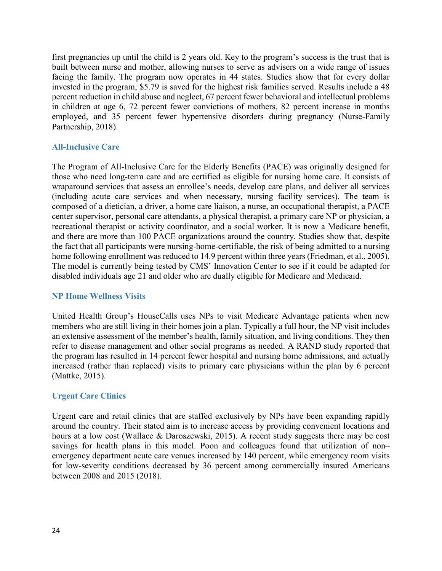first pregnancies up until the child is 2 years old. Key to the program's success is the trust that is built between nurse and mother, allowing nurses to serve as advisers on a wide range of issues facing the family. The program now operates in 44 states. Studies show that for every dollar invested in the program, \$5.79 is saved for the highest risk families served. Results include a 48 percent reduction in child abuse and neglect, 67 percent fewer behavioral and intellectual problems in children at age 6, 72 percent fewer convictions of mothers, 82 percent increase in months employed, and 35 percent fewer hypertensive disorders during pregnancy (Nurse-Family Partnership, 2018).

# <span id="page-24-0"></span>**All-Inclusive Care**

The Program of All-Inclusive Care for the Elderly Benefits (PACE) was originally designed for those who need long-term care and are certified as eligible for nursing home care. It consists of wraparound services that assess an enrollee's needs, develop care plans, and deliver all services (including acute care services and when necessary, nursing facility services). The team is composed of a dietician, a driver, a home care liaison, a nurse, an occupational therapist, a PACE center supervisor, personal care attendants, a physical therapist, a primary care NP or physician, a recreational therapist or activity coordinator, and a social worker. It is now a Medicare benefit, and there are more than 100 PACE organizations around the country. Studies show that, despite the fact that all participants were nursing-home-certifiable, the risk of being admitted to a nursing home following enrollment was reduced to 14.9 percent within three years (Friedman, et al., 2005). The model is currently being tested by CMS' Innovation Center to see if it could be adapted for disabled individuals age 21 and older who are dually eligible for Medicare and Medicaid.

#### <span id="page-24-1"></span>**NP Home Wellness Visits**

United Health Group's HouseCalls uses NPs to visit Medicare Advantage patients when new members who are still living in their homes join a plan. Typically a full hour, the NP visit includes an extensive assessment of the member's health, family situation, and living conditions. They then refer to disease management and other social programs as needed. A RAND study reported that the program has resulted in 14 percent fewer hospital and nursing home admissions, and actually increased (rather than replaced) visits to primary care physicians within the plan by 6 percent (Mattke, 2015).

# <span id="page-24-2"></span>**Urgent Care Clinics**

Urgent care and retail clinics that are staffed exclusively by NPs have been expanding rapidly around the country. Their stated aim is to increase access by providing convenient locations and hours at a low cost (Wallace & Daroszewski, 2015). A recent study suggests there may be cost savings for health plans in this model. Poon and colleagues found that utilization of non– emergency department acute care venues increased by 140 percent, while emergency room visits for low-severity conditions decreased by 36 percent among commercially insured Americans between 2008 and 2015 (2018).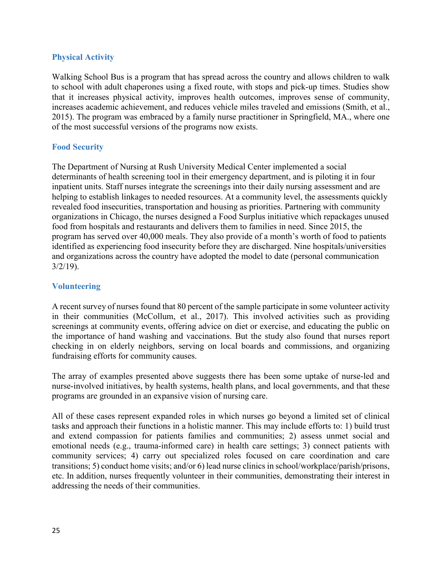# <span id="page-25-0"></span>**Physical Activity**

Walking School Bus is a program that has spread across the country and allows children to walk to school with adult chaperones using a fixed route, with stops and pick-up times. Studies show that it increases physical activity, improves health outcomes, improves sense of community, increases academic achievement, and reduces vehicle miles traveled and emissions (Smith, et al., 2015). The program was embraced by a family nurse practitioner in Springfield, MA., where one of the most successful versions of the programs now exists.

# <span id="page-25-1"></span>**Food Security**

The Department of Nursing at Rush University Medical Center implemented a social determinants of health screening tool in their emergency department, and is piloting it in four inpatient units. Staff nurses integrate the screenings into their daily nursing assessment and are helping to establish linkages to needed resources. At a community level, the assessments quickly revealed food insecurities, transportation and housing as priorities. Partnering with community organizations in Chicago, the nurses designed a Food Surplus initiative which repackages unused food from hospitals and restaurants and delivers them to families in need. Since 2015, the program has served over 40,000 meals. They also provide of a month's worth of food to patients identified as experiencing food insecurity before they are discharged. Nine hospitals/universities and organizations across the country have adopted the model to date (personal communication  $3/2/19$ ).

#### **Volunteering**

A recent survey of nurses found that 80 percent of the sample participate in some volunteer activity in their communities (McCollum, et al., 2017). This involved activities such as providing screenings at community events, offering advice on diet or exercise, and educating the public on the importance of hand washing and vaccinations. But the study also found that nurses report checking in on elderly neighbors, serving on local boards and commissions, and organizing fundraising efforts for community causes.

The array of examples presented above suggests there has been some uptake of nurse-led and nurse-involved initiatives, by health systems, health plans, and local governments, and that these programs are grounded in an expansive vision of nursing care.

All of these cases represent expanded roles in which nurses go beyond a limited set of clinical tasks and approach their functions in a holistic manner. This may include efforts to: 1) build trust and extend compassion for patients families and communities; 2) assess unmet social and emotional needs (e.g., trauma-informed care) in health care settings; 3) connect patients with community services; 4) carry out specialized roles focused on care coordination and care transitions; 5) conduct home visits; and/or 6) lead nurse clinics in school/workplace/parish/prisons, etc. In addition, nurses frequently volunteer in their communities, demonstrating their interest in addressing the needs of their communities.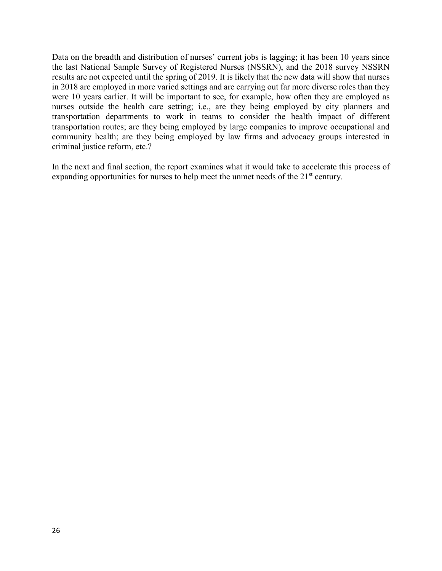Data on the breadth and distribution of nurses' current jobs is lagging; it has been 10 years since the last National Sample Survey of Registered Nurses (NSSRN), and the 2018 survey NSSRN results are not expected until the spring of 2019. It is likely that the new data will show that nurses in 2018 are employed in more varied settings and are carrying out far more diverse roles than they were 10 years earlier. It will be important to see, for example, how often they are employed as nurses outside the health care setting; i.e., are they being employed by city planners and transportation departments to work in teams to consider the health impact of different transportation routes; are they being employed by large companies to improve occupational and community health; are they being employed by law firms and advocacy groups interested in criminal justice reform, etc.?

In the next and final section, the report examines what it would take to accelerate this process of expanding opportunities for nurses to help meet the unmet needs of the 21<sup>st</sup> century.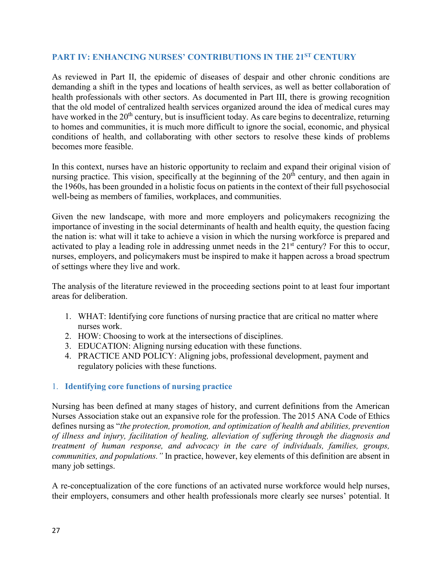# <span id="page-27-0"></span>**PART IV: ENHANCING NURSES' CONTRIBUTIONS IN THE 21ST CENTURY**

As reviewed in Part II, the epidemic of diseases of despair and other chronic conditions are demanding a shift in the types and locations of health services, as well as better collaboration of health professionals with other sectors. As documented in Part III, there is growing recognition that the old model of centralized health services organized around the idea of medical cures may have worked in the  $20<sup>th</sup>$  century, but is insufficient today. As care begins to decentralize, returning to homes and communities, it is much more difficult to ignore the social, economic, and physical conditions of health, and collaborating with other sectors to resolve these kinds of problems becomes more feasible.

In this context, nurses have an historic opportunity to reclaim and expand their original vision of nursing practice. This vision, specifically at the beginning of the  $20<sup>th</sup>$  century, and then again in the 1960s, has been grounded in a holistic focus on patients in the context of their full psychosocial well-being as members of families, workplaces, and communities.

Given the new landscape, with more and more employers and policymakers recognizing the importance of investing in the social determinants of health and health equity, the question facing the nation is: what will it take to achieve a vision in which the nursing workforce is prepared and activated to play a leading role in addressing unmet needs in the 21<sup>st</sup> century? For this to occur, nurses, employers, and policymakers must be inspired to make it happen across a broad spectrum of settings where they live and work.

The analysis of the literature reviewed in the proceeding sections point to at least four important areas for deliberation.

- 1. WHAT: Identifying core functions of nursing practice that are critical no matter where nurses work.
- 2. HOW: Choosing to work at the intersections of disciplines.
- 3. EDUCATION: Aligning nursing education with these functions.
- 4. PRACTICE AND POLICY: Aligning jobs, professional development, payment and regulatory policies with these functions.

# <span id="page-27-1"></span>1. **Identifying core functions of nursing practice**

Nursing has been defined at many stages of history, and current definitions from the American Nurses Association stake out an expansive role for the profession. The 2015 ANA Code of Ethics defines nursing as "*the protection, promotion, and optimization of health and abilities, prevention of illness and injury, facilitation of healing, alleviation of suffering through the diagnosis and treatment of human response, and advocacy in the care of individuals, families, groups, communities, and populations."* In practice, however, key elements of this definition are absent in many job settings.

A re-conceptualization of the core functions of an activated nurse workforce would help nurses, their employers, consumers and other health professionals more clearly see nurses' potential. It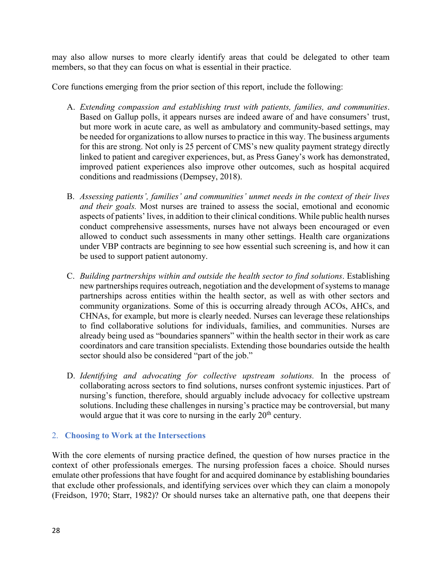may also allow nurses to more clearly identify areas that could be delegated to other team members, so that they can focus on what is essential in their practice.

Core functions emerging from the prior section of this report, include the following:

- A. *Extending compassion and establishing trust with patients, families, and communities*. Based on Gallup polls, it appears nurses are indeed aware of and have consumers' trust, but more work in acute care, as well as ambulatory and community-based settings, may be needed for organizations to allow nurses to practice in this way. The business arguments for this are strong. Not only is 25 percent of CMS's new quality payment strategy directly linked to patient and caregiver experiences, but, as Press Ganey's work has demonstrated, improved patient experiences also improve other outcomes, such as hospital acquired conditions and readmissions (Dempsey, 2018).
- B. *Assessing patients', families' and communities' unmet needs in the context of their lives and their goals.* Most nurses are trained to assess the social, emotional and economic aspects of patients' lives, in addition to their clinical conditions. While public health nurses conduct comprehensive assessments, nurses have not always been encouraged or even allowed to conduct such assessments in many other settings. Health care organizations under VBP contracts are beginning to see how essential such screening is, and how it can be used to support patient autonomy.
- C. *Building partnerships within and outside the health sector to find solutions*. Establishing new partnerships requires outreach, negotiation and the development of systems to manage partnerships across entities within the health sector, as well as with other sectors and community organizations. Some of this is occurring already through ACOs, AHCs, and CHNAs, for example, but more is clearly needed. Nurses can leverage these relationships to find collaborative solutions for individuals, families, and communities. Nurses are already being used as "boundaries spanners" within the health sector in their work as care coordinators and care transition specialists. Extending those boundaries outside the health sector should also be considered "part of the job."
- D. *Identifying and advocating for collective upstream solutions.* In the process of collaborating across sectors to find solutions, nurses confront systemic injustices. Part of nursing's function, therefore, should arguably include advocacy for collective upstream solutions. Including these challenges in nursing's practice may be controversial, but many would argue that it was core to nursing in the early  $20<sup>th</sup>$  century.

# <span id="page-28-0"></span>2. **Choosing to Work at the Intersections**

With the core elements of nursing practice defined, the question of how nurses practice in the context of other professionals emerges. The nursing profession faces a choice. Should nurses emulate other professions that have fought for and acquired dominance by establishing boundaries that exclude other professionals, and identifying services over which they can claim a monopoly (Freidson, 1970; Starr, 1982)? Or should nurses take an alternative path, one that deepens their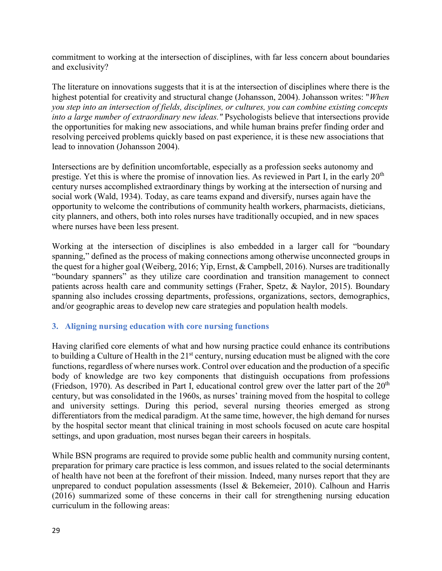commitment to working at the intersection of disciplines, with far less concern about boundaries and exclusivity?

The literature on innovations suggests that it is at the intersection of disciplines where there is the highest potential for creativity and structural change [\(Johansson,](https://www.amazon.com/Frans-Johansson/e/B001K8FXLC/ref=dp_byline_cont_book_1) 2004). Johansson writes: "*When you step into an intersection of fields, disciplines, or cultures, you can combine existing concepts into a large number of extraordinary new ideas."* Psychologists believe that intersections provide the opportunities for making new associations, and while human brains prefer finding order and resolving perceived problems quickly based on past experience, it is these new associations that lead to innovation (Johansson 2004).

Intersections are by definition uncomfortable, especially as a profession seeks autonomy and prestige. Yet this is where the promise of innovation lies. As reviewed in Part I, in the early 20<sup>th</sup> century nurses accomplished extraordinary things by working at the intersection of nursing and social work (Wald, 1934). Today, as care teams expand and diversify, nurses again have the opportunity to welcome the contributions of community health workers, pharmacists, dieticians, city planners, and others, both into roles nurses have traditionally occupied, and in new spaces where nurses have been less present.

Working at the intersection of disciplines is also embedded in a larger call for "boundary spanning," defined as the process of making connections among otherwise unconnected groups in the quest for a higher goal (Weiberg, 2016; Yip, Ernst, & Campbell, 2016). Nurses are traditionally "boundary spanners" as they utilize care coordination and transition management to connect patients across health care and community settings (Fraher, Spetz, & Naylor, 2015). Boundary spanning also includes crossing departments, professions, organizations, sectors, demographics, and/or geographic areas to develop new care strategies and population health models.

# <span id="page-29-0"></span>**3. Aligning nursing education with core nursing functions**

Having clarified core elements of what and how nursing practice could enhance its contributions to building a Culture of Health in the  $21<sup>st</sup>$  century, nursing education must be aligned with the core functions, regardless of where nurses work. Control over education and the production of a specific body of knowledge are two key components that distinguish occupations from professions (Friedson, 1970). As described in Part I, educational control grew over the latter part of the  $20<sup>th</sup>$ century, but was consolidated in the 1960s, as nurses' training moved from the hospital to college and university settings. During this period, several nursing theories emerged as strong differentiators from the medical paradigm. At the same time, however, the high demand for nurses by the hospital sector meant that clinical training in most schools focused on acute care hospital settings, and upon graduation, most nurses began their careers in hospitals.

While BSN programs are required to provide some public health and community nursing content, preparation for primary care practice is less common, and issues related to the social determinants of health have not been at the forefront of their mission. Indeed, many nurses report that they are unprepared to conduct population assessments (Issel & Bekemeier, 2010). Calhoun and Harris (2016) summarized some of these concerns in their call for strengthening nursing education curriculum in the following areas: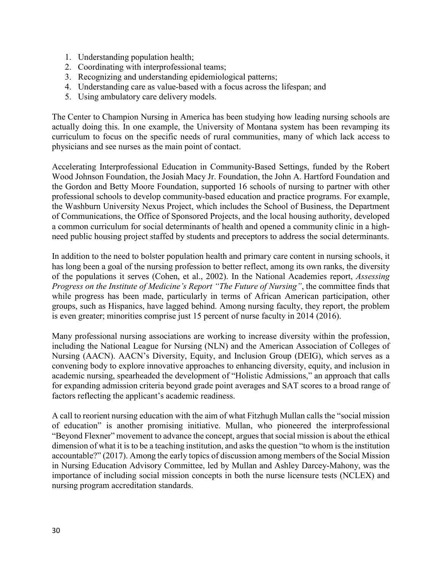- 1. Understanding population health;
- 2. Coordinating with interprofessional teams;
- 3. Recognizing and understanding epidemiological patterns;
- 4. Understanding care as value-based with a focus across the lifespan; and
- 5. Using ambulatory care delivery models.

The Center to Champion Nursing in America has been studying how leading nursing schools are actually doing this. In one example, the University of Montana system has been revamping its curriculum to focus on the specific needs of rural communities, many of which lack access to physicians and see nurses as the main point of contact.

Accelerating Interprofessional Education in Community-Based Settings, funded by the Robert Wood Johnson Foundation, the Josiah Macy Jr. Foundation, the John A. Hartford Foundation and the Gordon and Betty Moore Foundation, supported 16 schools of nursing to partner with other professional schools to develop community-based education and practice programs. For example, the Washburn University Nexus Project, which includes the School of Business, the Department of Communications, the Office of Sponsored Projects, and the local housing authority, developed a common curriculum for social determinants of health and opened a community clinic in a highneed public housing project staffed by students and preceptors to address the social determinants.

In addition to the need to bolster population health and primary care content in nursing schools, it has long been a goal of the nursing profession to better reflect, among its own ranks, the diversity of the populations it serves (Cohen, et al., 2002). In the National Academies report, *Assessing Progress on the Institute of Medicine's Report "The Future of Nursing"*, the committee finds that while progress has been made, particularly in terms of African American participation, other groups, such as Hispanics, have lagged behind. Among nursing faculty, they report, the problem is even greater; minorities comprise just 15 percent of nurse faculty in 2014 (2016).

Many professional nursing associations are working to increase diversity within the profession, including the National League for Nursing (NLN) and the American Association of Colleges of Nursing (AACN). AACN's Diversity, Equity, and Inclusion Group (DEIG), which serves as a convening body to explore innovative approaches to enhancing diversity, equity, and inclusion in academic nursing, spearheaded the development of "Holistic Admissions," an approach that calls for expanding admission criteria beyond grade point averages and SAT scores to a broad range of factors reflecting the applicant's academic readiness.

A call to reorient nursing education with the aim of what Fitzhugh Mullan calls the "social mission of education" is another promising initiative. Mullan, who pioneered the interprofessional "Beyond Flexner" movement to advance the concept, argues that social mission is about the ethical dimension of what it is to be a teaching institution, and asks the question "to whom is the institution accountable?" (2017). Among the early topics of discussion among members of the Social Mission in Nursing Education Advisory Committee, led by Mullan and Ashley Darcey-Mahony, was the importance of including social mission concepts in both the nurse licensure tests (NCLEX) and nursing program accreditation standards.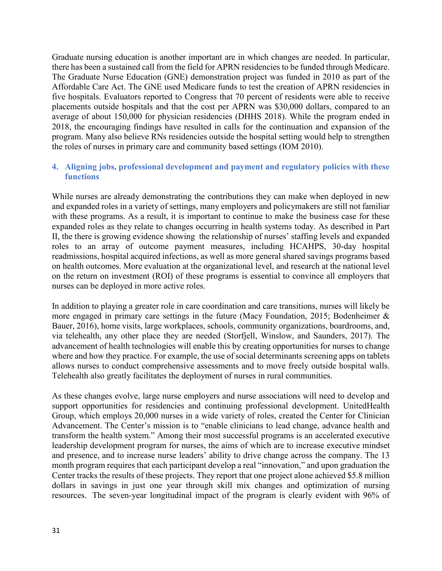Graduate nursing education is another important are in which changes are needed. In particular, there has been a sustained call from the field for APRN residencies to be funded through Medicare. The Graduate Nurse Education (GNE) demonstration project was funded in 2010 as part of the Affordable Care Act. The GNE used Medicare funds to test the creation of APRN residencies in five hospitals. Evaluators reported to Congress that 70 percent of residents were able to receive placements outside hospitals and that the cost per APRN was \$30,000 dollars, compared to an average of about 150,000 for physician residencies (DHHS 2018). While the program ended in 2018, the encouraging findings have resulted in calls for the continuation and expansion of the program. Many also believe RNs residencies outside the hospital setting would help to strengthen the roles of nurses in primary care and community based settings (IOM 2010).

# <span id="page-31-0"></span>**4. Aligning jobs, professional development and payment and regulatory policies with these functions**

While nurses are already demonstrating the contributions they can make when deployed in new and expanded roles in a variety of settings, many employers and policymakers are still not familiar with these programs. As a result, it is important to continue to make the business case for these expanded roles as they relate to changes occurring in health systems today. As described in Part II, the there is growing evidence showing the relationship of nurses' staffing levels and expanded roles to an array of outcome payment measures, including HCAHPS, 30-day hospital readmissions, hospital acquired infections, as well as more general shared savings programs based on health outcomes. More evaluation at the organizational level, and research at the national level on the return on investment (ROI) of these programs is essential to convince all employers that nurses can be deployed in more active roles.

In addition to playing a greater role in care coordination and care transitions, nurses will likely be more engaged in primary care settings in the future (Macy Foundation, 2015; Bodenheimer & Bauer, 2016), home visits, large workplaces, schools, community organizations, boardrooms, and, via telehealth, any other place they are needed (Storfjell, Winslow, and Saunders, 2017). The advancement of health technologies will enable this by creating opportunities for nurses to change where and how they practice. For example, the use of social determinants screening apps on tablets allows nurses to conduct comprehensive assessments and to move freely outside hospital walls. Telehealth also greatly facilitates the deployment of nurses in rural communities.

As these changes evolve, large nurse employers and nurse associations will need to develop and support opportunities for residencies and continuing professional development. UnitedHealth Group, which employs 20,000 nurses in a wide variety of roles, created the Center for Clinician Advancement. The Center's mission is to "enable clinicians to lead change, advance health and transform the health system." Among their most successful programs is an accelerated executive leadership development program for nurses, the aims of which are to increase executive mindset and presence, and to increase nurse leaders' ability to drive change across the company. The 13 month program requires that each participant develop a real "innovation," and upon graduation the Center tracks the results of these projects. They report that one project alone achieved \$5.8 million dollars in savings in just one year through skill mix changes and optimization of nursing resources. The seven-year longitudinal impact of the program is clearly evident with 96% of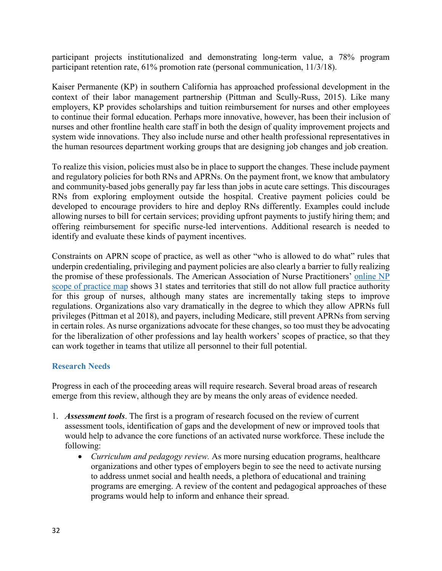participant projects institutionalized and demonstrating long-term value, a 78% program participant retention rate, 61% promotion rate (personal communication, 11/3/18).

Kaiser Permanente (KP) in southern California has approached professional development in the context of their labor management partnership (Pittman and Scully-Russ, 2015). Like many employers, KP provides scholarships and tuition reimbursement for nurses and other employees to continue their formal education. Perhaps more innovative, however, has been their inclusion of nurses and other frontline health care staff in both the design of quality improvement projects and system wide innovations. They also include nurse and other health professional representatives in the human resources department working groups that are designing job changes and job creation.

To realize this vision, policies must also be in place to support the changes. These include payment and regulatory policies for both RNs and APRNs. On the payment front, we know that ambulatory and community-based jobs generally pay far less than jobs in acute care settings. This discourages RNs from exploring employment outside the hospital. Creative payment policies could be developed to encourage providers to hire and deploy RNs differently. Examples could include allowing nurses to bill for certain services; providing upfront payments to justify hiring them; and offering reimbursement for specific nurse-led interventions. Additional research is needed to identify and evaluate these kinds of payment incentives.

Constraints on APRN scope of practice, as well as other "who is allowed to do what" rules that underpin credentialing, privileging and payment policies are also clearly a barrier to fully realizing the promise of these professionals. The American Association of Nurse Practitioners' [online NP](https://www.aanp.org/advocacy/state/state-practice-environment)  [scope of practice map](https://www.aanp.org/advocacy/state/state-practice-environment) shows 31 states and territories that still do not allow full practice authority for this group of nurses, although many states are incrementally taking steps to improve regulations. Organizations also vary dramatically in the degree to which they allow APRNs full privileges (Pittman et al 2018), and payers, including Medicare, still prevent APRNs from serving in certain roles. As nurse organizations advocate for these changes, so too must they be advocating for the liberalization of other professions and lay health workers' scopes of practice, so that they can work together in teams that utilize all personnel to their full potential.

# <span id="page-32-0"></span>**Research Needs**

<span id="page-32-1"></span>Progress in each of the proceeding areas will require research. Several broad areas of research emerge from this review, although they are by means the only areas of evidence needed.

- 1. *Assessment tools*. The first is a program of research focused on the review of current assessment tools, identification of gaps and the development of new or improved tools that would help to advance the core functions of an activated nurse workforce. These include the following:
	- *Curriculum and pedagogy review.* As more nursing education programs, healthcare organizations and other types of employers begin to see the need to activate nursing to address unmet social and health needs, a plethora of educational and training programs are emerging. A review of the content and pedagogical approaches of these programs would help to inform and enhance their spread.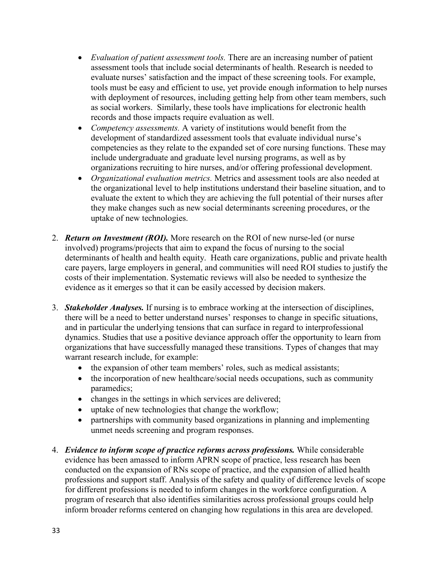- *Evaluation of patient assessment tools.* There are an increasing number of patient assessment tools that include social determinants of health. Research is needed to evaluate nurses' satisfaction and the impact of these screening tools. For example, tools must be easy and efficient to use, yet provide enough information to help nurses with deployment of resources, including getting help from other team members, such as social workers. Similarly, these tools have implications for electronic health records and those impacts require evaluation as well.
- *Competency assessments.* A variety of institutions would benefit from the development of standardized assessment tools that evaluate individual nurse's competencies as they relate to the expanded set of core nursing functions. These may include undergraduate and graduate level nursing programs, as well as by organizations recruiting to hire nurses, and/or offering professional development.
- *Organizational evaluation metrics.* Metrics and assessment tools are also needed at the organizational level to help institutions understand their baseline situation, and to evaluate the extent to which they are achieving the full potential of their nurses after they make changes such as new social determinants screening procedures, or the uptake of new technologies.
- 2. *Return on Investment (ROI).* More research on the ROI of new nurse-led (or nurse involved) programs/projects that aim to expand the focus of nursing to the social determinants of health and health equity. Heath care organizations, public and private health care payers, large employers in general, and communities will need ROI studies to justify the costs of their implementation. Systematic reviews will also be needed to synthesize the evidence as it emerges so that it can be easily accessed by decision makers.
- 3. *Stakeholder Analyses.* If nursing is to embrace working at the intersection of disciplines, there will be a need to better understand nurses' responses to change in specific situations, and in particular the underlying tensions that can surface in regard to interprofessional dynamics. Studies that use a positive deviance approach offer the opportunity to learn from organizations that have successfully managed these transitions. Types of changes that may warrant research include, for example:
	- the expansion of other team members' roles, such as medical assistants;
	- the incorporation of new healthcare/social needs occupations, such as community paramedics;
	- changes in the settings in which services are delivered;
	- uptake of new technologies that change the workflow;
	- partnerships with community based organizations in planning and implementing unmet needs screening and program responses.
- 4. *Evidence to inform scope of practice reforms across professions.* While considerable evidence has been amassed to inform APRN scope of practice, less research has been conducted on the expansion of RNs scope of practice, and the expansion of allied health professions and support staff. Analysis of the safety and quality of difference levels of scope for different professions is needed to inform changes in the workforce configuration. A program of research that also identifies similarities across professional groups could help inform broader reforms centered on changing how regulations in this area are developed.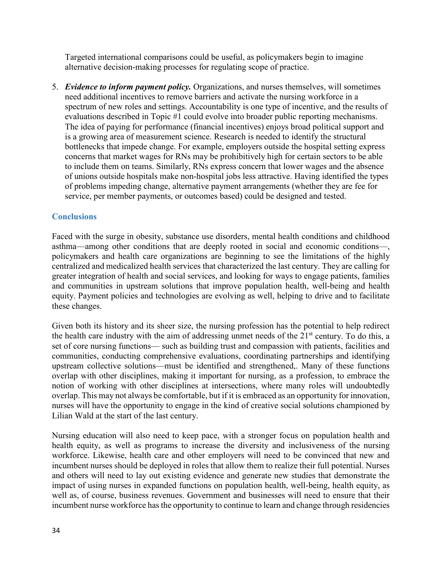Targeted international comparisons could be useful, as policymakers begin to imagine alternative decision-making processes for regulating scope of practice.

5. *Evidence to inform payment policy.* Organizations, and nurses themselves, will sometimes need additional incentives to remove barriers and activate the nursing workforce in a spectrum of new roles and settings. Accountability is one type of incentive, and the results of evaluations described in Topic #1 could evolve into broader public reporting mechanisms. The idea of paying for performance (financial incentives) enjoys broad political support and is a growing area of measurement science. Research is needed to identify the structural bottlenecks that impede change. For example, employers outside the hospital setting express concerns that market wages for RNs may be prohibitively high for certain sectors to be able to include them on teams. Similarly, RNs express concern that lower wages and the absence of unions outside hospitals make non-hospital jobs less attractive. Having identified the types of problems impeding change, alternative payment arrangements (whether they are fee for service, per member payments, or outcomes based) could be designed and tested.

# **Conclusions**

Faced with the surge in obesity, substance use disorders, mental health conditions and childhood asthma—among other conditions that are deeply rooted in social and economic conditions—, policymakers and health care organizations are beginning to see the limitations of the highly centralized and medicalized health services that characterized the last century. They are calling for greater integration of health and social services, and looking for ways to engage patients, families and communities in upstream solutions that improve population health, well-being and health equity. Payment policies and technologies are evolving as well, helping to drive and to facilitate these changes.

Given both its history and its sheer size, the nursing profession has the potential to help redirect the health care industry with the aim of addressing unmet needs of the  $21<sup>st</sup>$  century. To do this, a set of core nursing functions— such as building trust and compassion with patients, facilities and communities, conducting comprehensive evaluations, coordinating partnerships and identifying upstream collective solutions—must be identified and strengthened,. Many of these functions overlap with other disciplines, making it important for nursing, as a profession, to embrace the notion of working with other disciplines at intersections, where many roles will undoubtedly overlap. This may not always be comfortable, but if it is embraced as an opportunity for innovation, nurses will have the opportunity to engage in the kind of creative social solutions championed by Lilian Wald at the start of the last century.

Nursing education will also need to keep pace, with a stronger focus on population health and health equity, as well as programs to increase the diversity and inclusiveness of the nursing workforce. Likewise, health care and other employers will need to be convinced that new and incumbent nurses should be deployed in roles that allow them to realize their full potential. Nurses and others will need to lay out existing evidence and generate new studies that demonstrate the impact of using nurses in expanded functions on population health, well-being, health equity, as well as, of course, business revenues. Government and businesses will need to ensure that their incumbent nurse workforce has the opportunity to continue to learn and change through residencies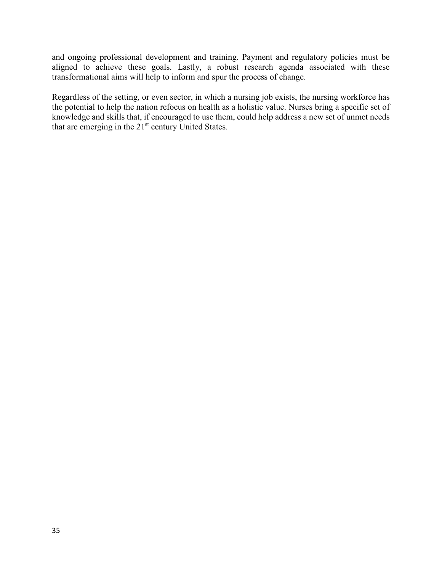and ongoing professional development and training. Payment and regulatory policies must be aligned to achieve these goals. Lastly, a robust research agenda associated with these transformational aims will help to inform and spur the process of change.

Regardless of the setting, or even sector, in which a nursing job exists, the nursing workforce has the potential to help the nation refocus on health as a holistic value. Nurses bring a specific set of knowledge and skills that, if encouraged to use them, could help address a new set of unmet needs that are emerging in the 21<sup>st</sup> century United States.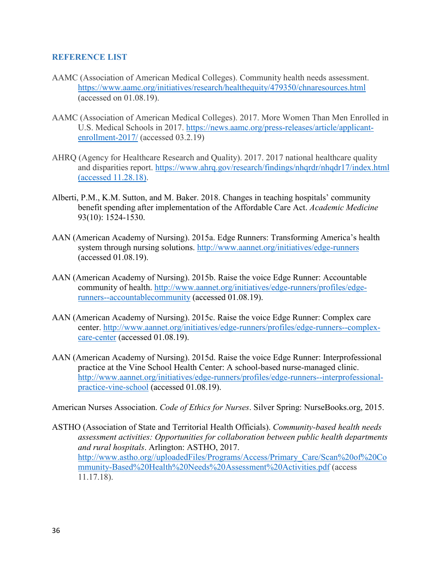#### <span id="page-36-0"></span>**REFERENCE LIST**

- AAMC (Association of American Medical Colleges). Community health needs assessment. <https://www.aamc.org/initiatives/research/healthequity/479350/chnaresources.html> (accessed on 01.08.19).
- AAMC (Association of American Medical Colleges). 2017. More Women Than Men Enrolled in U.S. Medical Schools in 2017. [https://news.aamc.org/press-releases/article/applicant](https://news.aamc.org/press-releases/article/applicant-enrollment-2017/)[enrollment-2017/](https://news.aamc.org/press-releases/article/applicant-enrollment-2017/) (accessed 03.2.19)
- AHRQ (Agency for Healthcare Research and Quality). 2017. 2017 national healthcare quality and disparities report.<https://www.ahrq.gov/research/findings/nhqrdr/nhqdr17/index.html> (accessed 11.28.18).
- Alberti, P.M., K.M. Sutton, and M. Baker. 2018. Changes in teaching hospitals' community benefit spending after implementation of the Affordable Care Act. *Academic Medicine* 93(10): 1524-1530.
- AAN (American Academy of Nursing). 2015a. Edge Runners: Transforming America's health system through nursing solutions.<http://www.aannet.org/initiatives/edge-runners> (accessed 01.08.19).
- AAN (American Academy of Nursing). 2015b. Raise the voice Edge Runner: Accountable community of health. [http://www.aannet.org/initiatives/edge-runners/profiles/edge](http://www.aannet.org/initiatives/edge-runners/profiles/edge-runners--accountablecommunity)[runners--accountablecommunity](http://www.aannet.org/initiatives/edge-runners/profiles/edge-runners--accountablecommunity) (accessed 01.08.19).
- AAN (American Academy of Nursing). 2015c. Raise the voice Edge Runner: Complex care center. [http://www.aannet.org/initiatives/edge-runners/profiles/edge-runners--complex](http://www.aannet.org/initiatives/edge-runners/profiles/edge-runners--complex-care-center)[care-center](http://www.aannet.org/initiatives/edge-runners/profiles/edge-runners--complex-care-center) (accessed 01.08.19).
- AAN (American Academy of Nursing). 2015d. Raise the voice Edge Runner: Interprofessional practice at the Vine School Health Center: A school-based nurse-managed clinic. [http://www.aannet.org/initiatives/edge-runners/profiles/edge-runners--interprofessional](http://www.aannet.org/initiatives/edge-runners/profiles/edge-runners--interprofessional-practice-vine-school)[practice-vine-school](http://www.aannet.org/initiatives/edge-runners/profiles/edge-runners--interprofessional-practice-vine-school) (accessed 01.08.19).

American Nurses Association. *Code of Ethics for Nurses*. Silver Spring: NurseBooks.org, 2015.

ASTHO (Association of State and Territorial Health Officials). *Community-based health needs assessment activities: Opportunities for collaboration between public health departments and rural hospitals*. Arlington: ASTHO, 2017. [http://www.astho.org//uploadedFiles/Programs/Access/Primary\\_Care/Scan%20of%20Co](http://www.astho.org/uploadedFiles/Programs/Access/Primary_Care/Scan%20of%20Community-Based%20Health%20Needs%20Assessment%20Activities.pdf) [mmunity-Based%20Health%20Needs%20Assessment%20Activities.pdf](http://www.astho.org/uploadedFiles/Programs/Access/Primary_Care/Scan%20of%20Community-Based%20Health%20Needs%20Assessment%20Activities.pdf) (access 11.17.18).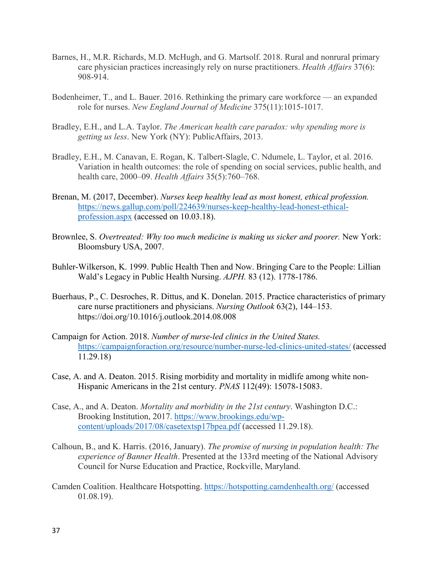- Barnes, H., M.R. Richards, M.D. McHugh, and G. Martsolf. 2018. Rural and nonrural primary care physician practices increasingly rely on nurse practitioners. *Health Affairs* 37(6): 908-914.
- Bodenheimer, T., and L. Bauer. 2016. Rethinking the primary care workforce an expanded role for nurses. *New England Journal of Medicine* 375(11):1015-1017.
- Bradley, E.H., and L.A. Taylor. *The American health care paradox: why spending more is getting us less*. New York (NY): PublicAffairs, 2013.
- Bradley, E.H., M. Canavan, E. Rogan, K. Talbert-Slagle, C. Ndumele, L. Taylor, et al. 2016. Variation in health outcomes: the role of spending on social services, public health, and health care, 2000–09. *Health Affairs* 35(5):760–768.
- Brenan, M. (2017, December). *Nurses keep healthy lead as most honest, ethical profession.* [https://news.gallup.com/poll/224639/nurses-keep-healthy-lead-honest-ethical](https://news.gallup.com/poll/224639/nurses-keep-healthy-lead-honest-ethical-profession.aspx)[profession.aspx](https://news.gallup.com/poll/224639/nurses-keep-healthy-lead-honest-ethical-profession.aspx) (accessed on 10.03.18).
- Brownlee, S. *Overtreated: Why too much medicine is making us sicker and poorer.* New York: Bloomsbury USA, 2007.
- Buhler-Wilkerson, K. 1999. Public Health Then and Now. Bringing Care to the People: Lillian Wald's Legacy in Public Health Nursing. *AJPH.* 83 (12). 1778-1786.
- Buerhaus, P., C. Desroches, R. Dittus, and K. Donelan. 2015. Practice characteristics of primary care nurse practitioners and physicians. *Nursing Outlook* 63(2), 144–153. https://doi.org/10.1016/j.outlook.2014.08.008
- Campaign for Action. 2018. *Number of nurse-led clinics in the United States.* <https://campaignforaction.org/resource/number-nurse-led-clinics-united-states/> (accessed 11.29.18)
- Case, A. and A. Deaton. 2015. Rising morbidity and mortality in midlife among white non-Hispanic Americans in the 21st century. *PNAS* 112(49): 15078-15083.
- Case, A., and A. Deaton. *Mortality and morbidity in the 21st century*. Washington D.C.: Brooking Institution, 2017. [https://www.brookings.edu/wp](https://www.brookings.edu/wp-content/uploads/2017/08/casetextsp17bpea.pdf)[content/uploads/2017/08/casetextsp17bpea.pdf](https://www.brookings.edu/wp-content/uploads/2017/08/casetextsp17bpea.pdf) (accessed 11.29.18).
- Calhoun, B., and K. Harris. (2016, January). *The promise of nursing in population health: The experience of Banner Health*. Presented at the 133rd meeting of the National Advisory Council for Nurse Education and Practice, Rockville, Maryland.
- Camden Coalition. Healthcare Hotspotting.<https://hotspotting.camdenhealth.org/> (accessed 01.08.19).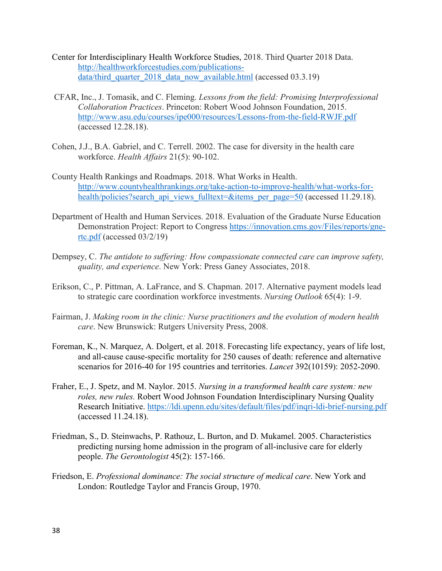- [Center for Interdisciplinary Health Workforce Studies,](http://healthworkforcestudies.com/) 2018. Third Quarter 2018 Data. [http://healthworkforcestudies.com/publications](http://healthworkforcestudies.com/publications-data/third_quarter_2018_data_now_available.html)[data/third\\_quarter\\_2018\\_data\\_now\\_available.html](http://healthworkforcestudies.com/publications-data/third_quarter_2018_data_now_available.html) (accessed 03.3.19)
- CFAR, Inc., J. Tomasik, and C. Fleming. *Lessons from the field: Promising Interprofessional Collaboration Practices*. Princeton: Robert Wood Johnson Foundation, 2015. <http://www.asu.edu/courses/ipe000/resources/Lessons-from-the-field-RWJF.pdf> (accessed 12.28.18).
- Cohen, J.J., B.A. Gabriel, and C. Terrell. 2002. The case for diversity in the health care workforce. *Health Affairs* 21(5): 90-102.
- County Health Rankings and Roadmaps. 2018. What Works in Health. [http://www.countyhealthrankings.org/take-action-to-improve-health/what-works-for](http://www.countyhealthrankings.org/take-action-to-improve-health/what-works-for-health/policies?search_api_views_fulltext=&items_per_page=50)[health/policies?search\\_api\\_views\\_fulltext=&items\\_per\\_page=50](http://www.countyhealthrankings.org/take-action-to-improve-health/what-works-for-health/policies?search_api_views_fulltext=&items_per_page=50) (accessed 11.29.18).
- Department of Health and Human Services. 2018. Evaluation of the Graduate Nurse Education Demonstration Project: Report to Congress [https://innovation.cms.gov/Files/reports/gne](https://innovation.cms.gov/Files/reports/gne-rtc.pdf)[rtc.pdf](https://innovation.cms.gov/Files/reports/gne-rtc.pdf) (accessed 03/2/19)
- Dempsey, C. *The antidote to suffering: How compassionate connected care can improve safety, quality, and experience*. New York: Press Ganey Associates, 2018.
- Erikson, C., P. Pittman, A. LaFrance, and S. Chapman. 2017. Alternative payment models lead to strategic care coordination workforce investments. *Nursing Outlook* 65(4): 1-9.
- Fairman, J. *Making room in the clinic: Nurse practitioners and the evolution of modern health care*. New Brunswick: Rutgers University Press, 2008.
- Foreman, K., N. Marquez, A. Dolgert, et al. 2018. Forecasting life expectancy, years of life lost, and all-cause cause-specific mortality for 250 causes of death: reference and alternative scenarios for 2016-40 for 195 countries and territories. *Lancet* 392(10159): 2052-2090.
- Fraher, E., J. Spetz, and M. Naylor. 2015. *Nursing in a transformed health care system: new roles, new rules.* Robert Wood Johnson Foundation Interdisciplinary Nursing Quality Research Initiative.<https://ldi.upenn.edu/sites/default/files/pdf/inqri-ldi-brief-nursing.pdf> (accessed 11.24.18).
- Friedman, S., D. Steinwachs, P. Rathouz, L. Burton, and D. Mukamel. 2005. Characteristics predicting nursing home admission in the program of all-inclusive care for elderly people. *The Gerontologist* 45(2): 157-166.
- Friedson, E. *Professional dominance: The social structure of medical care*. New York and London: Routledge Taylor and Francis Group, 1970.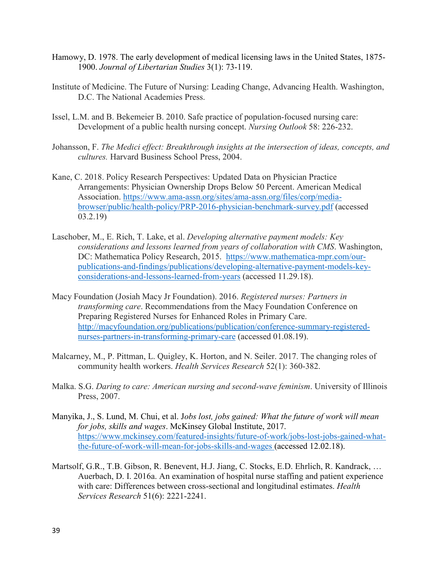- Hamowy, D. 1978. The early development of medical licensing laws in the United States, 1875- 1900. *Journal of Libertarian Studies* 3(1): 73-119.
- Institute of Medicine. The Future of Nursing: Leading Change, Advancing Health. Washington, D.C. The National Academies Press.
- Issel, L.M. and B. Bekemeier B. 2010. Safe practice of population-focused nursing care: Development of a public health nursing concept. *Nursing Outlook* 58: 226-232.
- Johansson, F. *The Medici effect: Breakthrough insights at the intersection of ideas, concepts, and cultures.* Harvard Business School Press, 2004.
- Kane, C. 2018. Policy Research Perspectives: Updated Data on Physician Practice Arrangements: Physician Ownership Drops Below 50 Percent. American Medical Association. [https://www.ama-assn.org/sites/ama-assn.org/files/corp/media](https://www.ama-assn.org/sites/ama-assn.org/files/corp/media-browser/public/health-policy/PRP-2016-physician-benchmark-survey.pdf)[browser/public/health-policy/PRP-2016-physician-benchmark-survey.pdf](https://www.ama-assn.org/sites/ama-assn.org/files/corp/media-browser/public/health-policy/PRP-2016-physician-benchmark-survey.pdf) (accessed 03.2.19)
- Laschober, M., E. Rich, T. Lake, et al. *Developing alternative payment models: Key considerations and lessons learned from years of collaboration with CMS*. Washington, DC: Mathematica Policy Research, 2015. [https://www.mathematica-mpr.com/our](https://www.mathematica-mpr.com/our-publications-and-findings/publications/developing-alternative-payment-models-key-considerations-and-lessons-learned-from-years)[publications-and-findings/publications/developing-alternative-payment-models-key](https://www.mathematica-mpr.com/our-publications-and-findings/publications/developing-alternative-payment-models-key-considerations-and-lessons-learned-from-years)[considerations-and-lessons-learned-from-years](https://www.mathematica-mpr.com/our-publications-and-findings/publications/developing-alternative-payment-models-key-considerations-and-lessons-learned-from-years) (accessed 11.29.18).
- Macy Foundation (Josiah Macy Jr Foundation). 2016. *Registered nurses: Partners in transforming care*. Recommendations from the Macy Foundation Conference on Preparing Registered Nurses for Enhanced Roles in Primary Care. [http://macyfoundation.org/publications/publication/conference-summary-registered](http://macyfoundation.org/publications/publication/conference-summary-registered-nurses-partners-in-transforming-primary-care)[nurses-partners-in-transforming-primary-care](http://macyfoundation.org/publications/publication/conference-summary-registered-nurses-partners-in-transforming-primary-care) (accessed 01.08.19).
- Malcarney, M., P. Pittman, L. Quigley, K. Horton, and N. Seiler. 2017. The changing roles of community health workers. *Health Services Research* 52(1): 360-382.
- Malka. S.G. *Daring to care: American nursing and second-wave feminism*. University of Illinois Press, 2007.
- Manyika, J., S. Lund, M. Chui, et al. J*obs lost, jobs gained: What the future of work will mean for jobs, skills and wages*. McKinsey Global Institute, 2017. [https://www.mckinsey.com/featured-insights/future-of-work/jobs-lost-jobs-gained-what](https://www.mckinsey.com/featured-insights/future-of-work/jobs-lost-jobs-gained-what-the-future-of-work-will-mean-for-jobs-skills-and-wages)[the-future-of-work-will-mean-for-jobs-skills-and-wages](https://www.mckinsey.com/featured-insights/future-of-work/jobs-lost-jobs-gained-what-the-future-of-work-will-mean-for-jobs-skills-and-wages) (accessed 12.02.18).
- Martsolf, G.R., T.B. Gibson, R. Benevent, H.J. Jiang, C. Stocks, E.D. Ehrlich, R. Kandrack, … Auerbach, D. I. 2016a. An examination of hospital nurse staffing and patient experience with care: Differences between cross-sectional and longitudinal estimates. *Health Services Research* 51(6): 2221-2241.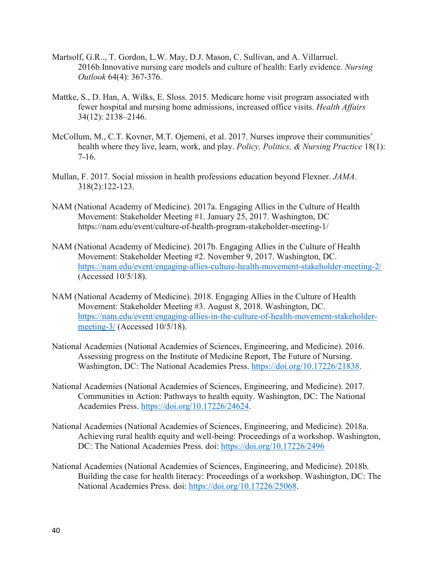- Martsolf, G.R.., T. Gordon, L.W. May, D.J. Mason, C. Sullivan, and A. Villarruel. 2016b.Innovative nursing care models and culture of health: Early evidence. *Nursing Outlook* 64(4): 367-376.
- Mattke, S., D. Han, A. Wilks, E. Sloss. 2015. Medicare home visit program associated with fewer hospital and nursing home admissions, increased office visits. *Health Affairs* 34(12): 2138–2146.
- McCollum, M., C.T. Kovner, M.T. Ojemeni, et al. 2017. Nurses improve their communities' health where they live, learn, work, and play. *Policy, Politics, & Nursing Practice* 18(1): 7-16.
- Mullan, F. 2017. Social mission in health professions education beyond Flexner. *JAMA*. 318(2):122-123.
- NAM (National Academy of Medicine). 2017a. Engaging Allies in the Culture of Health Movement: Stakeholder Meeting #1. January 25, 2017. Washington, DC https://nam.edu/event/culture-of-health-program-stakeholder-meeting-1/
- NAM (National Academy of Medicine). 2017b. Engaging Allies in the Culture of Health Movement: Stakeholder Meeting #2. November 9, 2017. Washington, DC. <https://nam.edu/event/engaging-allies-culture-health-movement-stakeholder-meeting-2/> (Accessed 10/5/18).
- NAM (National Academy of Medicine). 2018. Engaging Allies in the Culture of Health Movement: Stakeholder Meeting #3. August 8, 2018. Washington, DC. [https://nam.edu/event/engaging-allies-in-the-culture-of-health-movement-stakeholder](https://nam.edu/event/engaging-allies-in-the-culture-of-health-movement-stakeholder-meeting-3/)[meeting-3/](https://nam.edu/event/engaging-allies-in-the-culture-of-health-movement-stakeholder-meeting-3/) (Accessed 10/5/18).
- National Academies (National Academies of Sciences, Engineering, and Medicine). 2016. Assessing progress on the Institute of Medicine Report, The Future of Nursing. Washington, DC: The National Academies Press. [https://doi.org/10.17226/21838.](https://doi.org/10.17226/21838)
- National Academies (National Academies of Sciences, Engineering, and Medicine). 2017. Communities in Action: Pathways to health equity. Washington, DC: The National Academies Press. [https://doi.org/10.17226/24624.](https://doi.org/10.17226/24624)
- National Academies (National Academies of Sciences, Engineering, and Medicine). 2018a. Achieving rural health equity and well-being: Proceedings of a workshop. Washington, DC: The National Academies Press. doi:<https://doi.org/10.17226/2496>
- National Academies (National Academies of Sciences, Engineering, and Medicine). 2018b. Building the case for health literacy: Proceedings of a workshop. Washington, DC: The National Academies Press. doi: [https://doi.org/10.17226/25068.](https://doi.org/10.17226/25068)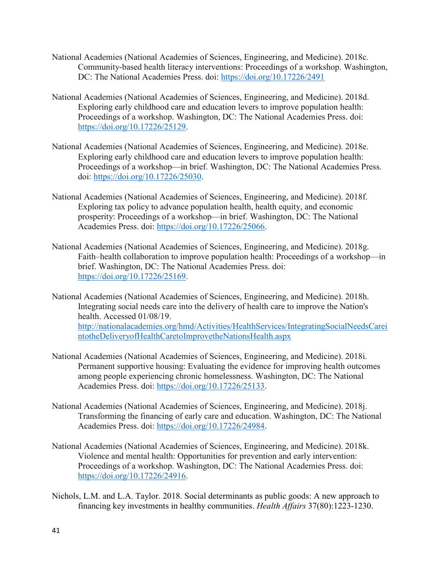- National Academies (National Academies of Sciences, Engineering, and Medicine). 2018c. Community-based health literacy interventions: Proceedings of a workshop. Washington, DC: The National Academies Press. doi:<https://doi.org/10.17226/2491>
- National Academies (National Academies of Sciences, Engineering, and Medicine). 2018d. Exploring early childhood care and education levers to improve population health: Proceedings of a workshop. Washington, DC: The National Academies Press. doi: [https://doi.org/10.17226/25129.](https://doi.org/10.17226/25129)
- National Academies (National Academies of Sciences, Engineering, and Medicine). 2018e. Exploring early childhood care and education levers to improve population health: Proceedings of a workshop—in brief. Washington, DC: The National Academies Press. doi: [https://doi.org/10.17226/25030.](https://doi.org/10.17226/25030)
- National Academies (National Academies of Sciences, Engineering, and Medicine). 2018f. Exploring tax policy to advance population health, health equity, and economic prosperity: Proceedings of a workshop—in brief. Washington, DC: The National Academies Press. doi: [https://doi.org/10.17226/25066.](https://doi.org/10.17226/25066)
- National Academies (National Academies of Sciences, Engineering, and Medicine). 2018g. Faith–health collaboration to improve population health: Proceedings of a workshop—in brief. Washington, DC: The National Academies Press. doi: [https://doi.org/10.17226/25169.](https://doi.org/10.17226/25169)
- National Academies (National Academies of Sciences, Engineering, and Medicine). 2018h. Integrating social needs care into the delivery of health care to improve the Nation's health. Accessed 01/08/19. [http://nationalacademies.org/hmd/Activities/HealthServices/IntegratingSocialNeedsCarei](http://nationalacademies.org/hmd/Activities/HealthServices/IntegratingSocialNeedsCareintotheDeliveryofHealthCaretoImprovetheNationsHealth.aspx) [ntotheDeliveryofHealthCaretoImprovetheNationsHealth.aspx](http://nationalacademies.org/hmd/Activities/HealthServices/IntegratingSocialNeedsCareintotheDeliveryofHealthCaretoImprovetheNationsHealth.aspx)
- National Academies (National Academies of Sciences, Engineering, and Medicine). 2018i. Permanent supportive housing: Evaluating the evidence for improving health outcomes among people experiencing chronic homelessness. Washington, DC: The National Academies Press. doi: [https://doi.org/10.17226/25133.](https://doi.org/10.17226/25133)
- National Academies (National Academies of Sciences, Engineering, and Medicine). 2018j. Transforming the financing of early care and education. Washington, DC: The National Academies Press. doi: [https://doi.org/10.17226/24984.](https://doi.org/10.17226/24984)
- National Academies (National Academies of Sciences, Engineering, and Medicine). 2018k. Violence and mental health: Opportunities for prevention and early intervention: Proceedings of a workshop. Washington, DC: The National Academies Press. doi: [https://doi.org/10.17226/24916.](https://doi.org/10.17226/24916)
- Nichols, L.M. and L.A. Taylor. 2018. Social determinants as public goods: A new approach to financing key investments in healthy communities. *Health Affairs* 37(80):1223-1230.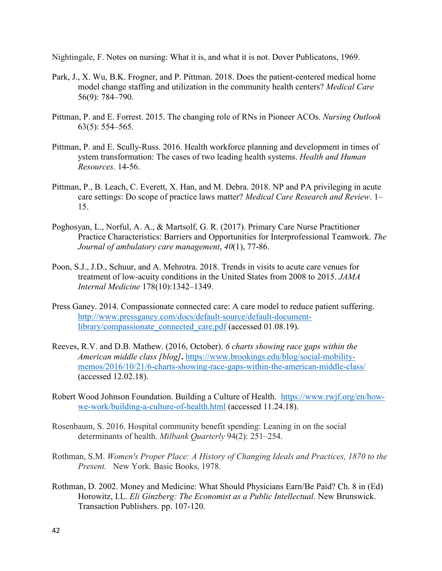Nightingale, F. Notes on nursing: What it is, and what it is not. Dover Publicatons, 1969.

- Park, J., X. Wu, B.K. Frogner, and P. Pittman. 2018. Does the patient-centered medical home model change staffing and utilization in the community health centers? *Medical Care* 56(9): 784–790.
- Pittman, P. and E. Forrest. 2015. The changing role of RNs in Pioneer ACOs. *Nursing Outlook* 63(5): 554–565.
- Pittman, P. and E. Scully-Russ. 2016. Health workforce planning and development in times of ystem transformation: The cases of two leading health systems. *Health and Human Resources.* 14-56.
- Pittman, P., B. Leach, C. Everett, X. Han, and M. Debra. 2018. NP and PA privileging in acute care settings: Do scope of practice laws matter? *Medical Care Research and Review*. 1– 15.
- Poghosyan, L., Norful, A. A., & Martsolf, G. R. (2017). Primary Care Nurse Practitioner Practice Characteristics: Barriers and Opportunities for Interprofessional Teamwork. *The Journal of ambulatory care management*, *40*(1), 77-86.
- Poon, S.J., J.D., Schuur, and A. Mehrotra. 2018. Trends in visits to acute care venues for treatment of low-acuity conditions in the United States from 2008 to 2015. *JAMA Internal Medicine* 178(10):1342–1349.
- Press Ganey. 2014. Compassionate connected care: A care model to reduce patient suffering. [http://www.pressganey.com/docs/default-source/default-document](http://www.pressganey.com/docs/default-source/default-document-library/compassionate_connected_care.pdf)[library/compassionate\\_connected\\_care.pdf](http://www.pressganey.com/docs/default-source/default-document-library/compassionate_connected_care.pdf) (accessed 01.08.19).
- Reeves, R.V. and D.B. Mathew. (2016, October). *6 charts showing race gaps within the American middle class [blog]***.** [https://www.brookings.edu/blog/social-mobility](https://www.brookings.edu/blog/social-mobility-memos/2016/10/21/6-charts-showing-race-gaps-within-the-american-middle-class/)[memos/2016/10/21/6-charts-showing-race-gaps-within-the-american-middle-class/](https://www.brookings.edu/blog/social-mobility-memos/2016/10/21/6-charts-showing-race-gaps-within-the-american-middle-class/) (accessed 12.02.18).
- Robert Wood Johnson Foundation. Building a Culture of Health. [https://www.rwjf.org/en/how](https://www.rwjf.org/en/how-we-work/building-a-culture-of-health.html)[we-work/building-a-culture-of-health.html](https://www.rwjf.org/en/how-we-work/building-a-culture-of-health.html) (accessed 11.24.18).
- Rosenbaum, S. 2016. Hospital community benefit spending: Leaning in on the social determinants of health. *Milbank Quarterly* 94(2): 251–254.
- Rothman, S.M. *Women's Proper Place: A History of Changing Ideals and Practices, 1870 to the Present.* New York. Basic Books, 1978.
- Rothman, D. 2002. Money and Medicine: What Should Physicians Earn/Be Paid? Ch. 8 in (Ed) Horowitz, I.L. *Eli Ginzberg: The Economist as a Public Intellectual*. New Brunswick. Transaction Publishers. pp. 107-120.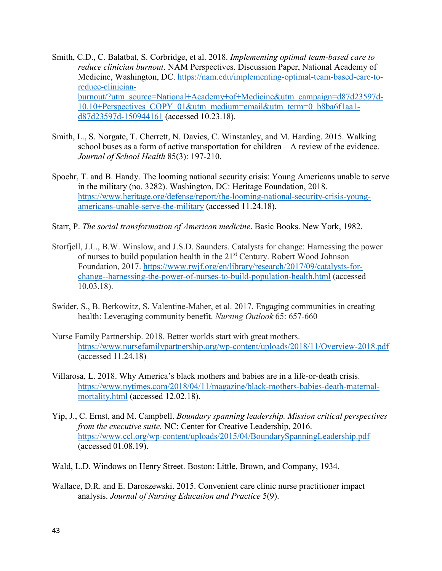- Smith, C.D., C. Balatbat, S. Corbridge, et al. 2018. *Implementing optimal team-based care to reduce clinician burnout*. NAM Perspectives. Discussion Paper, National Academy of Medicine, Washington, DC. [https://nam.edu/implementing-optimal-team-based-care-to](https://nam.edu/implementing-optimal-team-based-care-to-reduce-clinician-burnout/?utm_source=National+Academy+of+Medicine&utm_campaign=d87d23597d-10.10+Perspectives_COPY_01&utm_medium=email&utm_term=0_b8ba6f1aa1-d87d23597d-150944161)[reduce-clinician](https://nam.edu/implementing-optimal-team-based-care-to-reduce-clinician-burnout/?utm_source=National+Academy+of+Medicine&utm_campaign=d87d23597d-10.10+Perspectives_COPY_01&utm_medium=email&utm_term=0_b8ba6f1aa1-d87d23597d-150944161)[burnout/?utm\\_source=National+Academy+of+Medicine&utm\\_campaign=d87d23597d-](https://nam.edu/implementing-optimal-team-based-care-to-reduce-clinician-burnout/?utm_source=National+Academy+of+Medicine&utm_campaign=d87d23597d-10.10+Perspectives_COPY_01&utm_medium=email&utm_term=0_b8ba6f1aa1-d87d23597d-150944161)[10.10+Perspectives\\_COPY\\_01&utm\\_medium=email&utm\\_term=0\\_b8ba6f1aa1](https://nam.edu/implementing-optimal-team-based-care-to-reduce-clinician-burnout/?utm_source=National+Academy+of+Medicine&utm_campaign=d87d23597d-10.10+Perspectives_COPY_01&utm_medium=email&utm_term=0_b8ba6f1aa1-d87d23597d-150944161) [d87d23597d-150944161](https://nam.edu/implementing-optimal-team-based-care-to-reduce-clinician-burnout/?utm_source=National+Academy+of+Medicine&utm_campaign=d87d23597d-10.10+Perspectives_COPY_01&utm_medium=email&utm_term=0_b8ba6f1aa1-d87d23597d-150944161) (accessed 10.23.18).
- Smith, L., S. Norgate, T. Cherrett, N. Davies, C. Winstanley, and M. Harding. 2015. Walking school buses as a form of active transportation for children—A review of the evidence. *Journal of School Health* 85(3): 197-210.
- Spoehr, T. and B. Handy. The looming national security crisis: Young Americans unable to serve in the military (no. 3282). Washington, DC: Heritage Foundation, 2018. [https://www.heritage.org/defense/report/the-looming-national-security-crisis-young](https://www.heritage.org/defense/report/the-looming-national-security-crisis-young-americans-unable-serve-the-military)[americans-unable-serve-the-military](https://www.heritage.org/defense/report/the-looming-national-security-crisis-young-americans-unable-serve-the-military) (accessed 11.24.18).
- Starr, P. *The social transformation of American medicine*. Basic Books. New York, 1982.
- Storfjell, J.L., B.W. Winslow, and J.S.D. Saunders. Catalysts for change: Harnessing the power of nurses to build population health in the 21<sup>st</sup> Century. Robert Wood Johnson Foundation, 2017. [https://www.rwjf.org/en/library/research/2017/09/catalysts-for](https://www.rwjf.org/en/library/research/2017/09/catalysts-for-change--harnessing-the-power-of-nurses-to-build-population-health.html)[change--harnessing-the-power-of-nurses-to-build-population-health.html](https://www.rwjf.org/en/library/research/2017/09/catalysts-for-change--harnessing-the-power-of-nurses-to-build-population-health.html) (accessed 10.03.18).
- Swider, S., B. Berkowitz, S. Valentine-Maher, et al. 2017. Engaging communities in creating health: Leveraging community benefit. *Nursing Outlook* 65: 657-660
- Nurse Family Partnership. 2018. Better worlds start with great mothers. <https://www.nursefamilypartnership.org/wp-content/uploads/2018/11/Overview-2018.pdf> (accessed 11.24.18)
- Villarosa, L. 2018. Why America's black mothers and babies are in a life-or-death crisis. [https://www.nytimes.com/2018/04/11/magazine/black-mothers-babies-death-maternal](https://www.nytimes.com/2018/04/11/magazine/black-mothers-babies-death-maternal-mortality.html)[mortality.html](https://www.nytimes.com/2018/04/11/magazine/black-mothers-babies-death-maternal-mortality.html) (accessed 12.02.18).
- Yip, J., C. Ernst, and M. Campbell. *Boundary spanning leadership. Mission critical perspectives from the executive suite.* NC: Center for Creative Leadership, 2016. <https://www.ccl.org/wp-content/uploads/2015/04/BoundarySpanningLeadership.pdf> (accessed 01.08.19).
- Wald, L.D. Windows on Henry Street. Boston: Little, Brown, and Company, 1934.
- Wallace, D.R. and E. Daroszewski. 2015. Convenient care clinic nurse practitioner impact analysis. *Journal of Nursing Education and Practice* 5(9).